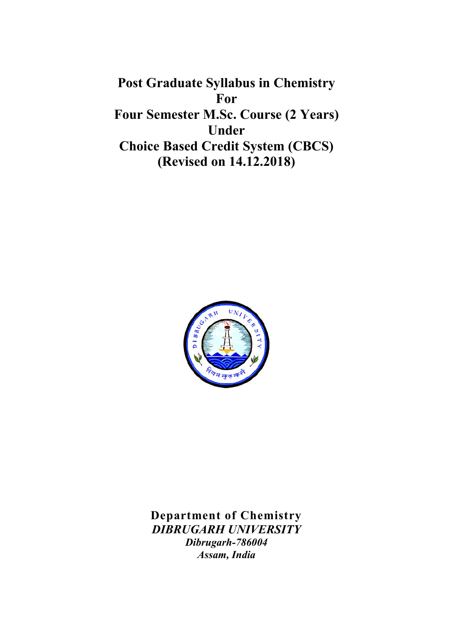Post Graduate Syllabus in Chemistry For Four Semester M.Sc. Course (2 Years) Under Choice Based Credit System (CBCS) (Revised on 14.12.2018)



Department of Chemistry DIBRUGARH UNIVERSITY Dibrugarh-786004 Assam, India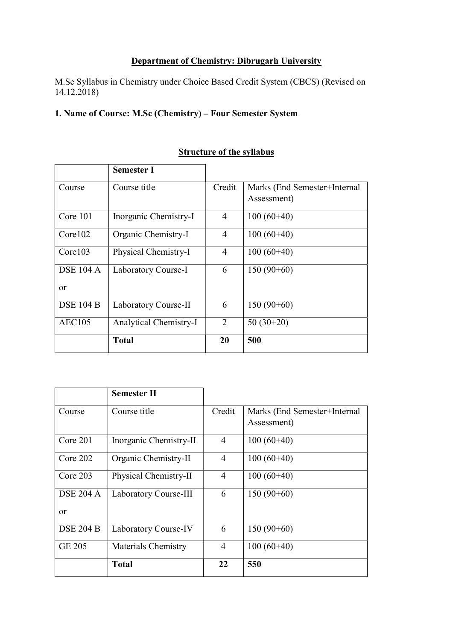# Department of Chemistry: Dibrugarh University

M.Sc Syllabus in Chemistry under Choice Based Credit System (CBCS) (Revised on 14.12.2018)

# 1. Name of Course: M.Sc (Chemistry) – Four Semester System

|                  | <b>Semester I</b>             |                |                              |
|------------------|-------------------------------|----------------|------------------------------|
| Course           | Course title                  | Credit         | Marks (End Semester+Internal |
|                  |                               |                | Assessment)                  |
| Core 101         | Inorganic Chemistry-I         | 4              | $100(60+40)$                 |
| Core102          | Organic Chemistry-I           | $\overline{4}$ | $100(60+40)$                 |
| Core103          | Physical Chemistry-I          | $\overline{4}$ | $100(60+40)$                 |
| <b>DSE 104 A</b> | Laboratory Course-I           | 6              | $150(90+60)$                 |
| <b>or</b>        |                               |                |                              |
| <b>DSE 104 B</b> | Laboratory Course-II          | 6              | $150(90+60)$                 |
| <b>AEC105</b>    | <b>Analytical Chemistry-I</b> | 2              | $50(30+20)$                  |
|                  | <b>Total</b>                  | 20             | 500                          |

# **Structure of the syllabus**

|                  | <b>Semester II</b>     |                |                              |
|------------------|------------------------|----------------|------------------------------|
| Course           | Course title           | Credit         | Marks (End Semester+Internal |
|                  |                        |                | Assessment)                  |
| Core $201$       | Inorganic Chemistry-II | 4              | $100(60+40)$                 |
| Core $202$       | Organic Chemistry-II   | 4              | $100(60+40)$                 |
| Core 203         | Physical Chemistry-II  | 4              | $100(60+40)$                 |
| <b>DSE 204 A</b> | Laboratory Course-III  | 6              | $150(90+60)$                 |
| <b>or</b>        |                        |                |                              |
| <b>DSE 204 B</b> | Laboratory Course-IV   | 6              | $150(90+60)$                 |
| <b>GE 205</b>    | Materials Chemistry    | $\overline{4}$ | $100(60+40)$                 |
|                  | <b>Total</b>           | 22             | 550                          |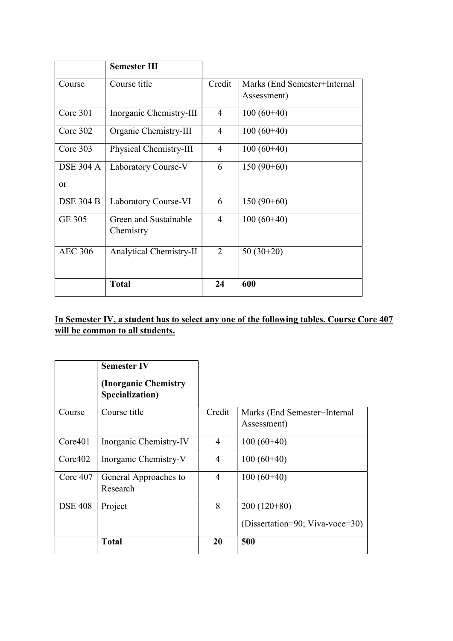|                  | <b>Semester III</b>     |                |                              |
|------------------|-------------------------|----------------|------------------------------|
| Course           | Course title            | Credit         | Marks (End Semester+Internal |
|                  |                         |                | Assessment)                  |
| Core 301         | Inorganic Chemistry-III | 4              | $100(60+40)$                 |
| Core 302         | Organic Chemistry-III   | $\overline{4}$ | $100(60+40)$                 |
| Core $303$       | Physical Chemistry-III  | $\overline{4}$ | $100(60+40)$                 |
| <b>DSE 304 A</b> | Laboratory Course-V     | 6              | $150(90+60)$                 |
| or               |                         |                |                              |
| <b>DSE 304 B</b> | Laboratory Course-VI    | 6              | $150(90+60)$                 |
| <b>GE 305</b>    | Green and Sustainable   | $\overline{4}$ | $100(60+40)$                 |
|                  | Chemistry               |                |                              |
| <b>AEC 306</b>   | Analytical Chemistry-II | $\overline{2}$ | $50(30+20)$                  |
|                  |                         |                |                              |
|                  | <b>Total</b>            | 24             | 600                          |

# In Semester IV, a student has to select any one of the following tables. Course Core 407 will be common to all students.

|                | <b>Semester IV</b><br>(Inorganic Chemistry)<br>Specialization) |                |                                             |
|----------------|----------------------------------------------------------------|----------------|---------------------------------------------|
| Course         | Course title                                                   | Credit         | Marks (End Semester+Internal<br>Assessment) |
| Core401        | Inorganic Chemistry-IV                                         | 4              | $100(60+40)$                                |
| Core402        | Inorganic Chemistry-V                                          | 4              | $100(60+40)$                                |
| Core 407       | General Approaches to<br>Research                              | $\overline{4}$ | $100(60+40)$                                |
| <b>DSE 408</b> | Project                                                        | 8              | $200(120+80)$                               |
|                |                                                                |                | (Dissertation=90; Viva-voce=30)             |
|                | <b>Total</b>                                                   | 20             | 500                                         |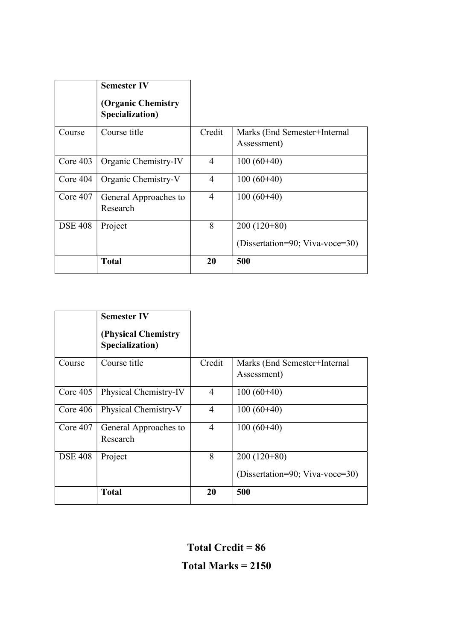|                | <b>Semester IV</b><br>(Organic Chemistry<br>Specialization) |                |                                                  |
|----------------|-------------------------------------------------------------|----------------|--------------------------------------------------|
| Course         | Course title                                                | Credit         | Marks (End Semester+Internal<br>Assessment)      |
| Core $403$     | Organic Chemistry-IV                                        | $\overline{4}$ | $100(60+40)$                                     |
| Core $404$     | Organic Chemistry-V                                         | 4              | $100(60+40)$                                     |
| Core $407$     | General Approaches to<br>Research                           | $\overline{4}$ | $100(60+40)$                                     |
| <b>DSE 408</b> | Project                                                     | 8              | $200(120+80)$<br>(Dissertation=90; Viva-voce=30) |
|                | <b>Total</b>                                                | 20             | 500                                              |

|                | <b>Semester IV</b><br>(Physical Chemistry)<br>Specialization) |                |                                                  |
|----------------|---------------------------------------------------------------|----------------|--------------------------------------------------|
| Course         | Course title                                                  | Credit         | Marks (End Semester+Internal<br>Assessment)      |
| Core 405       | Physical Chemistry-IV                                         | $\overline{4}$ | $100(60+40)$                                     |
| Core $406$     | Physical Chemistry-V                                          | $\overline{4}$ | $100(60+40)$                                     |
| Core $407$     | General Approaches to<br>Research                             | $\overline{4}$ | $100(60+40)$                                     |
| <b>DSE 408</b> | Project                                                       | 8              | $200(120+80)$<br>(Dissertation=90; Viva-voce=30) |
|                | <b>Total</b>                                                  | 20             | 500                                              |

Total Credit = 86

Total Marks = 2150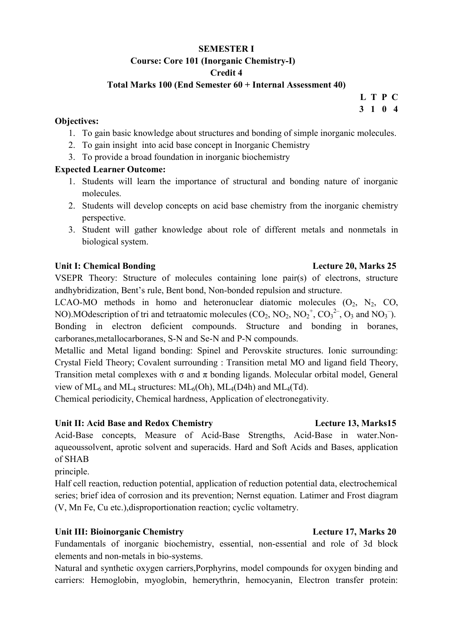### SEMESTER I Course: Core 101 (Inorganic Chemistry-I) Credit 4

### Total Marks 100 (End Semester 60 + Internal Assessment 40)

#### Objectives:

- 1. To gain basic knowledge about structures and bonding of simple inorganic molecules.
- 2. To gain insight into acid base concept in Inorganic Chemistry
- 3. To provide a broad foundation in inorganic biochemistry

#### Expected Learner Outcome:

- 1. Students will learn the importance of structural and bonding nature of inorganic molecules.
- 2. Students will develop concepts on acid base chemistry from the inorganic chemistry perspective.
- 3. Student will gather knowledge about role of different metals and nonmetals in biological system.

### Unit I: Chemical Bonding The Contract of Lecture 20, Marks 25

VSEPR Theory: Structure of molecules containing lone pair(s) of electrons, structure andhybridization, Bent's rule, Bent bond, Non-bonded repulsion and structure.

LCAO-MO methods in homo and heteronuclear diatomic molecules  $(O_2, N_2, CO,$ NO). MOdescription of tri and tetraatomic molecules  $(CO_2, NO_2, NO_2^+, CO_3^{2-}, O_3$  and  $NO_3^-)$ . Bonding in electron deficient compounds. Structure and bonding in boranes, carboranes,metallocarboranes, S-N and Se-N and P-N compounds.

Metallic and Metal ligand bonding: Spinel and Perovskite structures. Ionic surrounding: Crystal Field Theory; Covalent surrounding : Transition metal MO and ligand field Theory, Transition metal complexes with  $\sigma$  and  $\pi$  bonding ligands. Molecular orbital model, General view of  $ML_6$  and  $ML_4$  structures:  $ML_6(Oh)$ ,  $ML_4(D4h)$  and  $ML_4(Td)$ .

Chemical periodicity, Chemical hardness, Application of electronegativity.

#### Unit II: Acid Base and Redox Chemistry **Lecture 13, Marks15**

Acid-Base concepts, Measure of Acid-Base Strengths, Acid-Base in water.Nonaqueoussolvent, aprotic solvent and superacids. Hard and Soft Acids and Bases, application of SHAB

principle.

Half cell reaction, reduction potential, application of reduction potential data, electrochemical series; brief idea of corrosion and its prevention; Nernst equation. Latimer and Frost diagram (V, Mn Fe, Cu etc.),disproportionation reaction; cyclic voltametry.

## Unit III: Bioinorganic Chemistry **Lecture 17, Marks 20**

Fundamentals of inorganic biochemistry, essential, non-essential and role of 3d block elements and non-metals in bio-systems.

Natural and synthetic oxygen carriers,Porphyrins, model compounds for oxygen binding and carriers: Hemoglobin, myoglobin, hemerythrin, hemocyanin, Electron transfer protein:

L T P C 3 1 0 4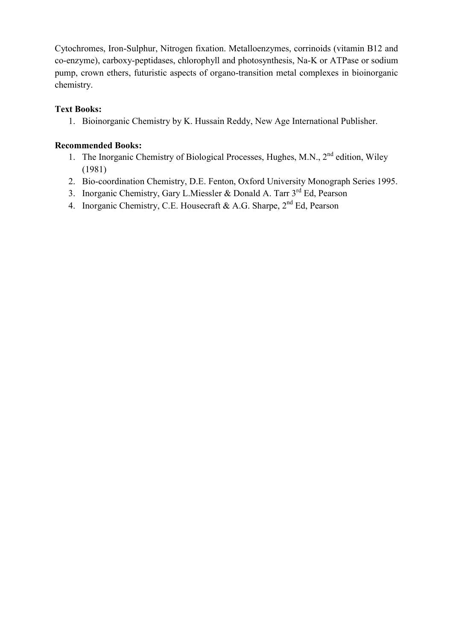Cytochromes, Iron-Sulphur, Nitrogen fixation. Metalloenzymes, corrinoids (vitamin B12 and co-enzyme), carboxy-peptidases, chlorophyll and photosynthesis, Na-K or ATPase or sodium pump, crown ethers, futuristic aspects of organo-transition metal complexes in bioinorganic chemistry.

# Text Books:

1. Bioinorganic Chemistry by K. Hussain Reddy, New Age International Publisher.

- 1. The Inorganic Chemistry of Biological Processes, Hughes, M.N., 2<sup>nd</sup> edition, Wiley (1981)
- 2. Bio-coordination Chemistry, D.E. Fenton, Oxford University Monograph Series 1995.
- 3. Inorganic Chemistry, Gary L.Miessler & Donald A. Tarr 3<sup>rd</sup> Ed, Pearson
- 4. Inorganic Chemistry, C.E. Housecraft & A.G. Sharpe, 2<sup>nd</sup> Ed, Pearson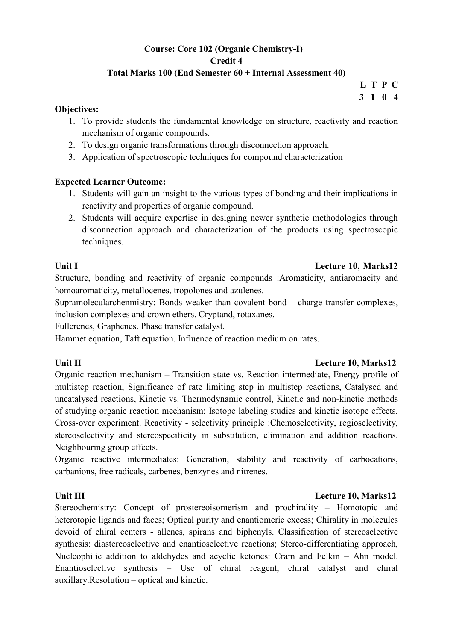# Course: Core 102 (Organic Chemistry-I) Credit 4

# Total Marks 100 (End Semester 60 + Internal Assessment 40)

 L T P C 3 1 0 4

#### Objectives:

- 1. To provide students the fundamental knowledge on structure, reactivity and reaction mechanism of organic compounds.
- 2. To design organic transformations through disconnection approach.
- 3. Application of spectroscopic techniques for compound characterization

## Expected Learner Outcome:

- 1. Students will gain an insight to the various types of bonding and their implications in reactivity and properties of organic compound.
- 2. Students will acquire expertise in designing newer synthetic methodologies through disconnection approach and characterization of the products using spectroscopic techniques.

### Unit I Lecture 10, Marks12

Structure, bonding and reactivity of organic compounds :Aromaticity, antiaromacity and homoaromaticity, metallocenes, tropolones and azulenes.

Supramolecularchenmistry: Bonds weaker than covalent bond – charge transfer complexes, inclusion complexes and crown ethers. Cryptand, rotaxanes,

Fullerenes, Graphenes. Phase transfer catalyst.

Hammet equation, Taft equation. Influence of reaction medium on rates.

#### Unit II Lecture 10, Marks12

Organic reaction mechanism – Transition state vs. Reaction intermediate, Energy profile of multistep reaction, Significance of rate limiting step in multistep reactions, Catalysed and uncatalysed reactions, Kinetic vs. Thermodynamic control, Kinetic and non-kinetic methods of studying organic reaction mechanism; Isotope labeling studies and kinetic isotope effects, Cross-over experiment. Reactivity - selectivity principle :Chemoselectivity, regioselectivity, stereoselectivity and stereospecificity in substitution, elimination and addition reactions. Neighbouring group effects.

Organic reactive intermediates: Generation, stability and reactivity of carbocations, carbanions, free radicals, carbenes, benzynes and nitrenes.

## Unit III **Lecture 10, Marks12**

Stereochemistry: Concept of prostereoisomerism and prochirality – Homotopic and heterotopic ligands and faces; Optical purity and enantiomeric excess; Chirality in molecules devoid of chiral centers - allenes, spirans and biphenyls. Classification of stereoselective synthesis: diastereoselective and enantioselective reactions; Stereo-differentiating approach, Nucleophilic addition to aldehydes and acyclic ketones: Cram and Felkin – Ahn model. Enantioselective synthesis – Use of chiral reagent, chiral catalyst and chiral auxillary.Resolution – optical and kinetic.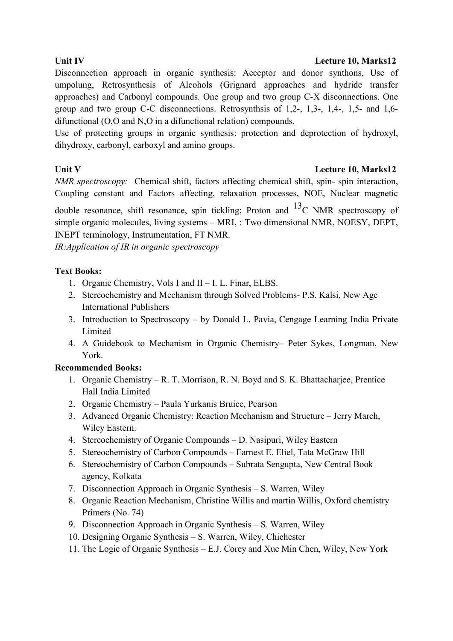# Unit IV Lecture 10, Marks12

Disconnection approach in organic synthesis: Acceptor and donor synthons, Use of umpolung, Retrosynthesis of Alcohols (Grignard approaches and hydride transfer approaches) and Carbonyl compounds. One group and two group C-X disconnections. One group and two group C-C disconnections. Retrosynthsis of 1,2-, 1,3-, 1,4-, 1,5- and 1,6 difunctional (O,O and N,O in a difunctional relation) compounds.

Use of protecting groups in organic synthesis: protection and deprotection of hydroxyl, dihydroxy, carbonyl, carboxyl and amino groups.

# Unit V Lecture 10, Marks12

NMR spectroscopy: Chemical shift, factors affecting chemical shift, spin- spin interaction, Coupling constant and Factors affecting, relaxation processes, NOE, Nuclear magnetic

double resonance, shift resonance, spin tickling; Proton and  $^{13}$ C NMR spectroscopy of simple organic molecules, living systems – MRI, : Two dimensional NMR, NOESY, DEPT, INEPT terminology, Instrumentation, FT NMR.

IR:Application of IR in organic spectroscopy

# Text Books:

- 1. Organic Chemistry, Vols I and II I. L. Finar, ELBS.
- 2. Stereochemistry and Mechanism through Solved Problems- P.S. Kalsi, New Age International Publishers
- 3. Introduction to Spectroscopy by Donald L. Pavia, Cengage Learning India Private Limited
- 4. A Guidebook to Mechanism in Organic Chemistry– Peter Sykes, Longman, New York.

- 1. Organic Chemistry R. T. Morrison, R. N. Boyd and S. K. Bhattacharjee, Prentice Hall India Limited
- 2. Organic Chemistry Paula Yurkanis Bruice, Pearson
- 3. Advanced Organic Chemistry: Reaction Mechanism and Structure Jerry March, Wiley Eastern.
- 4. Stereochemistry of Organic Compounds D. Nasipuri, Wiley Eastern
- 5. Stereochemistry of Carbon Compounds Earnest E. Eliel, Tata McGraw Hill
- 6. Stereochemistry of Carbon Compounds Subrata Sengupta, New Central Book agency, Kolkata
- 7. Disconnection Approach in Organic Synthesis S. Warren, Wiley
- 8. Organic Reaction Mechanism, Christine Willis and martin Willis, Oxford chemistry Primers (No. 74)
- 9. Disconnection Approach in Organic Synthesis S. Warren, Wiley
- 10. Designing Organic Synthesis S. Warren, Wiley, Chichester
- 11. The Logic of Organic Synthesis E.J. Corey and Xue Min Chen, Wiley, New York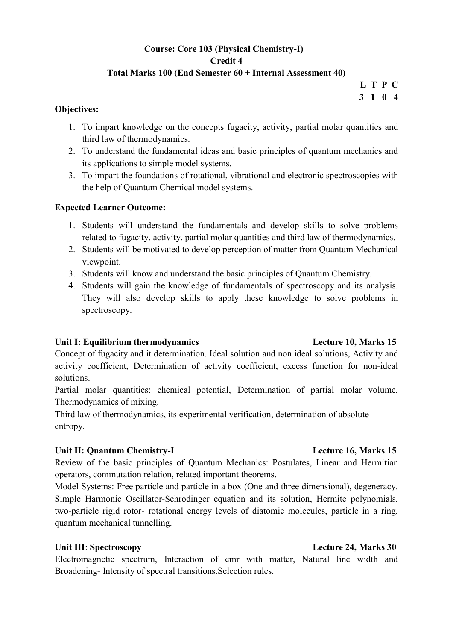# Course: Core 103 (Physical Chemistry-I) Credit 4 Total Marks 100 (End Semester 60 + Internal Assessment 40)

L T P C 3 1 0 4

#### Objectives:

- 1. To impart knowledge on the concepts fugacity, activity, partial molar quantities and third law of thermodynamics.
- 2. To understand the fundamental ideas and basic principles of quantum mechanics and its applications to simple model systems.
- 3. To impart the foundations of rotational, vibrational and electronic spectroscopies with the help of Quantum Chemical model systems.

# Expected Learner Outcome:

- 1. Students will understand the fundamentals and develop skills to solve problems related to fugacity, activity, partial molar quantities and third law of thermodynamics.
- 2. Students will be motivated to develop perception of matter from Quantum Mechanical viewpoint.
- 3. Students will know and understand the basic principles of Quantum Chemistry.
- 4. Students will gain the knowledge of fundamentals of spectroscopy and its analysis. They will also develop skills to apply these knowledge to solve problems in spectroscopy.

## Unit I: Equilibrium thermodynamics Lecture 10, Marks 15

# Concept of fugacity and it determination. Ideal solution and non ideal solutions, Activity and activity coefficient, Determination of activity coefficient, excess function for non-ideal solutions.

Partial molar quantities: chemical potential, Determination of partial molar volume, Thermodynamics of mixing.

Third law of thermodynamics, its experimental verification, determination of absolute entropy.

## Unit II: Quantum Chemistry-I Lecture 16, Marks 15

Review of the basic principles of Quantum Mechanics: Postulates, Linear and Hermitian operators, commutation relation, related important theorems.

Model Systems: Free particle and particle in a box (One and three dimensional), degeneracy. Simple Harmonic Oscillator-Schrodinger equation and its solution, Hermite polynomials, two-particle rigid rotor- rotational energy levels of diatomic molecules, particle in a ring, quantum mechanical tunnelling.

## Unit III: Spectroscopy **Lecture 24, Marks 30**

Electromagnetic spectrum, Interaction of emr with matter, Natural line width and Broadening- Intensity of spectral transitions.Selection rules.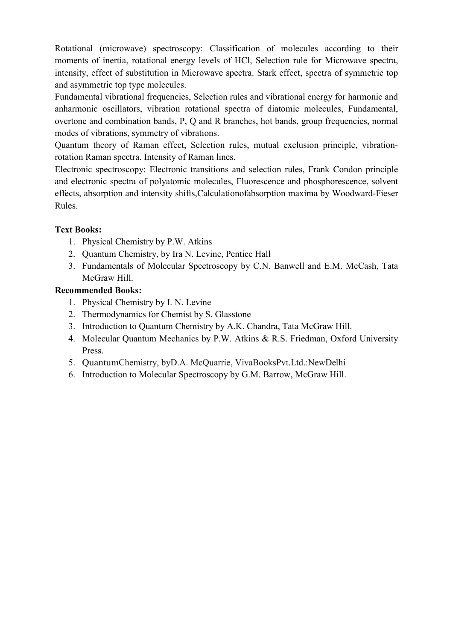Rotational (microwave) spectroscopy: Classification of molecules according to their moments of inertia, rotational energy levels of HCl, Selection rule for Microwave spectra, intensity, effect of substitution in Microwave spectra. Stark effect, spectra of symmetric top and asymmetric top type molecules.

Fundamental vibrational frequencies, Selection rules and vibrational energy for harmonic and anharmonic oscillators, vibration rotational spectra of diatomic molecules, Fundamental, overtone and combination bands, P, Q and R branches, hot bands, group frequencies, normal modes of vibrations, symmetry of vibrations.

Quantum theory of Raman effect, Selection rules, mutual exclusion principle, vibrationrotation Raman spectra. Intensity of Raman lines.

Electronic spectroscopy: Electronic transitions and selection rules, Frank Condon principle and electronic spectra of polyatomic molecules, Fluorescence and phosphorescence, solvent effects, absorption and intensity shifts,Calculationofabsorption maxima by Woodward-Fieser Rules.

# Text Books:

- 1. Physical Chemistry by P.W. Atkins
- 2. Quantum Chemistry, by Ira N. Levine, Pentice Hall
- 3. Fundamentals of Molecular Spectroscopy by C.N. Banwell and E.M. McCash, Tata McGraw Hill.

- 1. Physical Chemistry by I. N. Levine
- 2. Thermodynamics for Chemist by S. Glasstone
- 3. Introduction to Quantum Chemistry by A.K. Chandra, Tata McGraw Hill.
- 4. Molecular Quantum Mechanics by P.W. Atkins & R.S. Friedman, Oxford University Press.
- 5. QuantumChemistry, byD.A. McQuarrie, VivaBooksPvt.Ltd.:NewDelhi
- 6. Introduction to Molecular Spectroscopy by G.M. Barrow, McGraw Hill.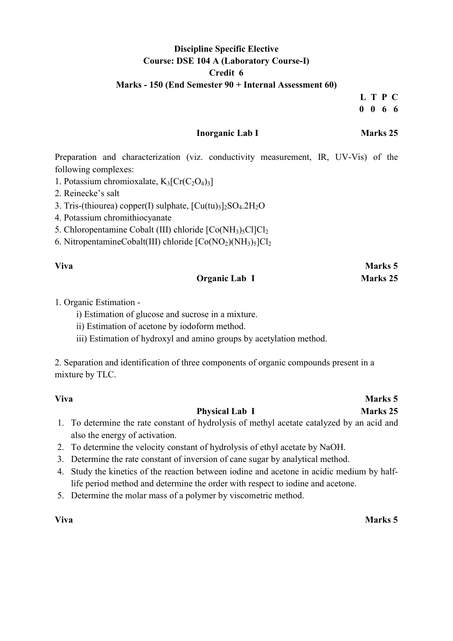# Discipline Specific Elective Course: DSE 104 A (Laboratory Course-I) Credit 6 Marks - 150 (End Semester 90 + Internal Assessment 60)

L T P C 0 0 6 6

### Inorganic Lab I Marks 25

Preparation and characterization (viz. conductivity measurement, IR, UV-Vis) of the following complexes:

- 1. Potassium chromioxalate,  $K_3[Cr(C_2O_4)_3]$
- 2. Reinecke's salt
- 3. Tris-(thiourea) copper(I) sulphate,  $\text{[Cu(tu)}_3\text{]}_2\text{SO}_4.2\text{H}_2\text{O}$
- 4. Potassium chromithiocyanate
- 5. Chloropentamine Cobalt (III) chloride  $[Co(NH<sub>3</sub>)<sub>5</sub>Cl]Cl<sub>2</sub>$
- 6. NitropentamineCobalt(III) chloride  $[Co(NO<sub>2</sub>)(NH<sub>3</sub>)<sub>5</sub>]Cl<sub>2</sub>$

#### Viva Marks 5

## Organic Lab I Marks 25

#### 1. Organic Estimation -

- i) Estimation of glucose and sucrose in a mixture.
- ii) Estimation of acetone by iodoform method.
- iii) Estimation of hydroxyl and amino groups by acetylation method.

2. Separation and identification of three components of organic compounds present in a mixture by TLC.

#### Viva Marks 5

## Physical Lab I Marks 25

- 1. To determine the rate constant of hydrolysis of methyl acetate catalyzed by an acid and also the energy of activation.
- 2. To determine the velocity constant of hydrolysis of ethyl acetate by NaOH.
- 3. Determine the rate constant of inversion of cane sugar by analytical method.
- 4. Study the kinetics of the reaction between iodine and acetone in acidic medium by halflife period method and determine the order with respect to iodine and acetone.
- 5. Determine the molar mass of a polymer by viscometric method.

#### Viva Marks 5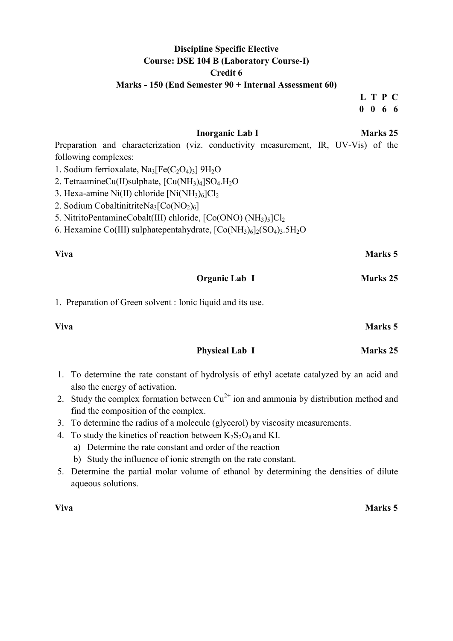# Discipline Specific Elective Course: DSE 104 B (Laboratory Course-I) Credit 6

### Marks - 150 (End Semester 90 + Internal Assessment 60)

L T P C 0 0 6 6

|                      |                                                                                                    | <b>Inorganic Lab I</b> |  | <b>Marks</b> 25 |  |
|----------------------|----------------------------------------------------------------------------------------------------|------------------------|--|-----------------|--|
|                      | Preparation and characterization (viz. conductivity measurement, IR, UV-Vis) of the                |                        |  |                 |  |
| following complexes: |                                                                                                    |                        |  |                 |  |
|                      | 1. Sodium ferrioxalate, $Na3[Fe(C2O4)3] 9H2O$                                                      |                        |  |                 |  |
|                      | 2. TetraamineCu(II)sulphate, [Cu(NH <sub>3</sub> ) <sub>4</sub> ]SO <sub>4</sub> .H <sub>2</sub> O |                        |  |                 |  |
|                      | 3. Hexa-amine Ni(II) chloride $[Ni(NH_3)_6]Cl_2$                                                   |                        |  |                 |  |
|                      | 2. Sodium Cobaltinitrite Na <sub>3</sub> $[Co(NO2)6]$                                              |                        |  |                 |  |
|                      | 5. NitritoPentamineCobalt(III) chloride, [Co(ONO) (NH <sub>3</sub> ) <sub>5</sub> ]Cl <sub>2</sub> |                        |  |                 |  |
|                      | 6. Hexamine Co(III) sulphatepentahydrate, $[Co(NH_3)_6]_2(SO_4)_3.5H_2O$                           |                        |  |                 |  |
| Viva                 |                                                                                                    |                        |  | <b>Marks</b> 5  |  |
|                      |                                                                                                    | Organic Lab I          |  | Marks 25        |  |
|                      | 1. Preparation of Green solvent : Ionic liquid and its use.                                        |                        |  |                 |  |
| Viva                 |                                                                                                    |                        |  | <b>Marks</b> 5  |  |
|                      |                                                                                                    |                        |  |                 |  |

1. To determine the rate constant of hydrolysis of ethyl acetate catalyzed by an acid and also the energy of activation.

Physical Lab I Marks 25

- 2. Study the complex formation between  $Cu^{2+}$  ion and ammonia by distribution method and find the composition of the complex.
- 3. To determine the radius of a molecule (glycerol) by viscosity measurements.
- 4. To study the kinetics of reaction between  $K_2S_2O_8$  and KI.
	- a) Determine the rate constant and order of the reaction
	- b) Study the influence of ionic strength on the rate constant.
- 5. Determine the partial molar volume of ethanol by determining the densities of dilute aqueous solutions.

## Viva Marks 5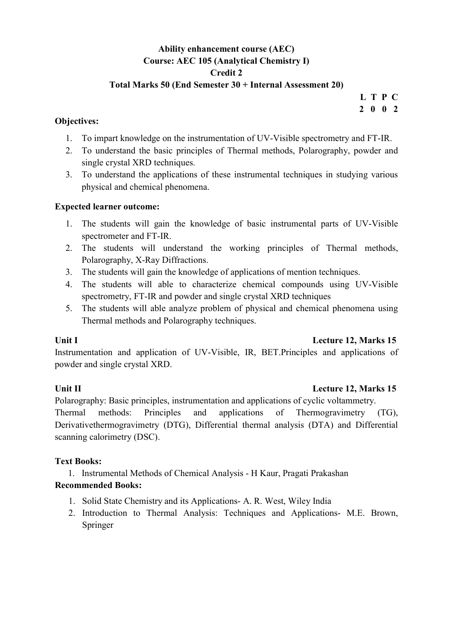# Ability enhancement course (AEC) Course: AEC 105 (Analytical Chemistry I) Credit 2

### Total Marks 50 (End Semester 30 + Internal Assessment 20)

# L T P C 2 0 0 2

## Objectives:

- 1. To impart knowledge on the instrumentation of UV-Visible spectrometry and FT-IR.
- 2. To understand the basic principles of Thermal methods, Polarography, powder and single crystal XRD techniques.
- 3. To understand the applications of these instrumental techniques in studying various physical and chemical phenomena.

# Expected learner outcome:

- 1. The students will gain the knowledge of basic instrumental parts of UV-Visible spectrometer and FT-IR.
- 2. The students will understand the working principles of Thermal methods, Polarography, X-Ray Diffractions.
- 3. The students will gain the knowledge of applications of mention techniques.
- 4. The students will able to characterize chemical compounds using UV-Visible spectrometry, FT-IR and powder and single crystal XRD techniques
- 5. The students will able analyze problem of physical and chemical phenomena using Thermal methods and Polarography techniques.

## Unit I Lecture 12, Marks 15

Instrumentation and application of UV-Visible, IR, BET.Principles and applications of powder and single crystal XRD.

## Unit II Lecture 12, Marks 15

Polarography: Basic principles, instrumentation and applications of cyclic voltammetry. Thermal methods: Principles and applications of Thermogravimetry (TG), Derivativethermogravimetry (DTG), Differential thermal analysis (DTA) and Differential scanning calorimetry (DSC).

# Text Books:

1. Instrumental Methods of Chemical Analysis - H Kaur, Pragati Prakashan

- 1. Solid State Chemistry and its Applications- A. R. West, Wiley India
- 2. Introduction to Thermal Analysis: Techniques and Applications- M.E. Brown, Springer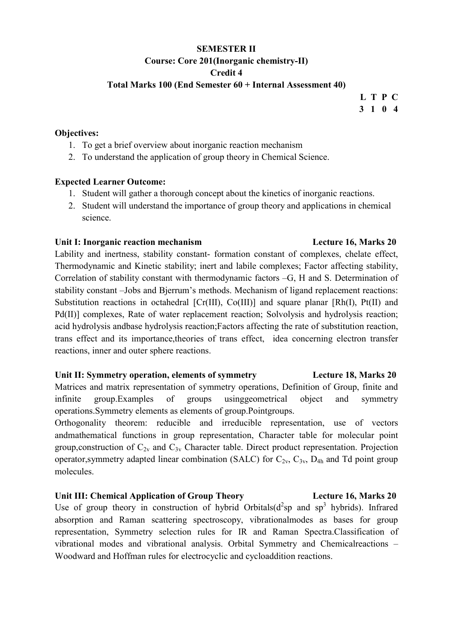# SEMESTER II Course: Core 201(Inorganic chemistry-II) Credit 4

#### Total Marks 100 (End Semester 60 + Internal Assessment 40)

# L T P C 3 1 0 4

#### Objectives:

- 1. To get a brief overview about inorganic reaction mechanism
- 2. To understand the application of group theory in Chemical Science.

#### Expected Learner Outcome:

- 1. Student will gather a thorough concept about the kinetics of inorganic reactions.
- 2. Student will understand the importance of group theory and applications in chemical science.

#### Unit I: Inorganic reaction mechanism and the section of Lecture 16, Marks 20

# Lability and inertness, stability constant- formation constant of complexes, chelate effect, Thermodynamic and Kinetic stability; inert and labile complexes; Factor affecting stability, Correlation of stability constant with thermodynamic factors –G, H and S. Determination of stability constant –Jobs and Bjerrum's methods. Mechanism of ligand replacement reactions: Substitution reactions in octahedral [Cr(III), Co(III)] and square planar [Rh(I), Pt(II) and Pd(II)] complexes, Rate of water replacement reaction; Solvolysis and hydrolysis reaction; acid hydrolysis andbase hydrolysis reaction;Factors affecting the rate of substitution reaction, trans effect and its importance,theories of trans effect, idea concerning electron transfer reactions, inner and outer sphere reactions.

## Unit II: Symmetry operation, elements of symmetry Lecture 18, Marks 20

Matrices and matrix representation of symmetry operations, Definition of Group, finite and infinite group.Examples of groups usinggeometrical object and symmetry operations.Symmetry elements as elements of group.Pointgroups.

Orthogonality theorem: reducible and irreducible representation, use of vectors andmathematical functions in group representation, Character table for molecular point group, construction of  $C_{2v}$  and  $C_{3v}$  Character table. Direct product representation. Projection operator, symmetry adapted linear combination (SALC) for  $C_{2v}$ ,  $C_{3v}$ ,  $D_{4h}$  and Td point group molecules.

## Unit III: Chemical Application of Group Theory Lecture 16, Marks 20

Use of group theory in construction of hybrid Orbitals( $d^2$ sp and sp<sup>3</sup> hybrids). Infrared absorption and Raman scattering spectroscopy, vibrationalmodes as bases for group representation, Symmetry selection rules for IR and Raman Spectra.Classification of vibrational modes and vibrational analysis. Orbital Symmetry and Chemicalreactions – Woodward and Hoffman rules for electrocyclic and cycloaddition reactions.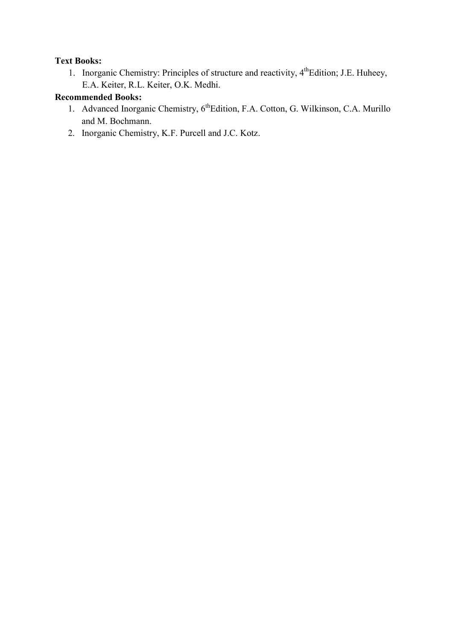# Text Books:

1. Inorganic Chemistry: Principles of structure and reactivity, 4<sup>th</sup>Edition; J.E. Huheey, E.A. Keiter, R.L. Keiter, O.K. Medhi.

- 1. Advanced Inorganic Chemistry, 6<sup>th</sup>Edition, F.A. Cotton, G. Wilkinson, C.A. Murillo and M. Bochmann.
- 2. Inorganic Chemistry, K.F. Purcell and J.C. Kotz.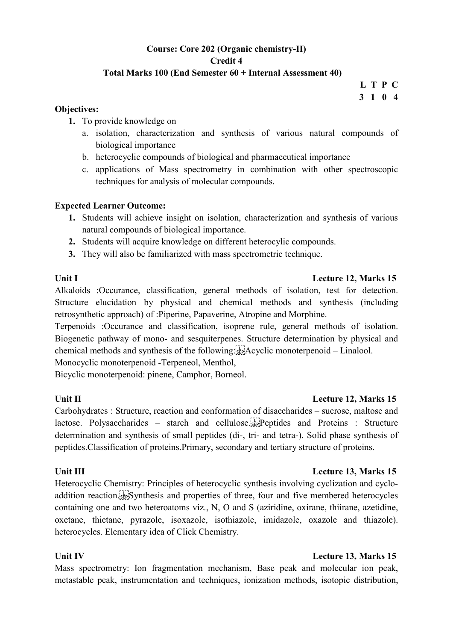# Course: Core 202 (Organic chemistry-II) Credit 4

# Total Marks 100 (End Semester 60 + Internal Assessment 40)

L T P C 3 1 0 4

#### Objectives:

- 1. To provide knowledge on
	- a. isolation, characterization and synthesis of various natural compounds of biological importance
	- b. heterocyclic compounds of biological and pharmaceutical importance
	- c. applications of Mass spectrometry in combination with other spectroscopic techniques for analysis of molecular compounds.

## Expected Learner Outcome:

- 1. Students will achieve insight on isolation, characterization and synthesis of various natural compounds of biological importance.
- 2. Students will acquire knowledge on different heterocylic compounds.
- 3. They will also be familiarized with mass spectrometric technique.

## Unit I Lecture 12, Marks 15

Alkaloids :Occurance, classification, general methods of isolation, test for detection. Structure elucidation by physical and chemical methods and synthesis (including retrosynthetic approach) of :Piperine, Papaverine, Atropine and Morphine.

Terpenoids :Occurance and classification, isoprene rule, general methods of isolation. Biogenetic pathway of mono- and sesquiterpenes. Structure determination by physical and chemical methods and synthesis of the following:
Acyclic monoterpenoid – Linalool.

Monocyclic monoterpenoid -Terpeneol, Menthol,

Bicyclic monoterpenoid: pinene, Camphor, Borneol.

## Unit II Lecture 12, Marks 15

Carbohydrates : Structure, reaction and conformation of disaccharides – sucrose, maltose and lactose. Polysaccharides – starch and cellulose.
Peptides and Proteins : Structure determination and synthesis of small peptides (di-, tri- and tetra-). Solid phase synthesis of peptides.Classification of proteins.Primary, secondary and tertiary structure of proteins.

Heterocyclic Chemistry: Principles of heterocyclic synthesis involving cyclization and cycloaddition reaction. **Sep.** Synthesis and properties of three, four and five membered heterocycles containing one and two heteroatoms viz., N, O and S (aziridine, oxirane, thiirane, azetidine, oxetane, thietane, pyrazole, isoxazole, isothiazole, imidazole, oxazole and thiazole). heterocycles. Elementary idea of Click Chemistry.

## Unit IV Lecture 13, Marks 15

Mass spectrometry: Ion fragmentation mechanism, Base peak and molecular ion peak, metastable peak, instrumentation and techniques, ionization methods, isotopic distribution,

# Unit III **Lecture 13, Marks 15**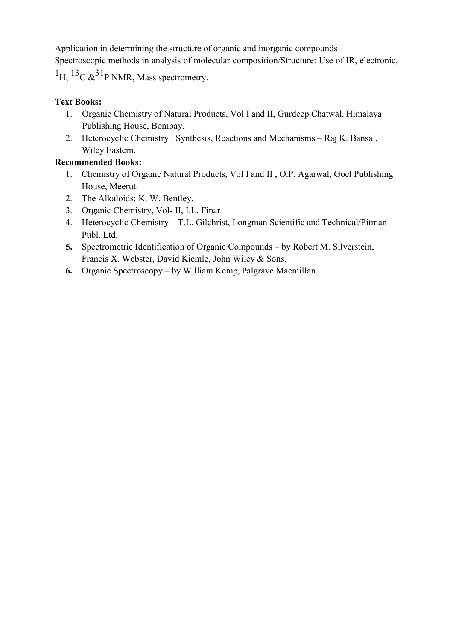Application in determining the structure of organic and inorganic compounds Spectroscopic methods in analysis of molecular composition/Structure: Use of IR, electronic,  ${}^{1}$ H,  ${}^{13}$ C & ${}^{31}$ P NMR, Mass spectrometry.

# Text Books:

- 1. Organic Chemistry of Natural Products, Vol I and II, Gurdeep Chatwal, Himalaya Publishing House, Bombay.
- 2. Heterocyclic Chemistry : Synthesis, Reactions and Mechanisms Raj K. Bansal, Wiley Eastern.

- 1. Chemistry of Organic Natural Products, Vol I and II , O.P. Agarwal, Goel Publishing House, Meerut.
- 2. The Alkaloids: K. W. Bentley.
- 3. Organic Chemistry, Vol- II, I.L. Finar
- 4. Heterocyclic Chemistry T.L. Gilchrist, Longman Scientific and Technical/Pitman Publ. Ltd.
- 5. Spectrometric Identification of Organic Compounds by Robert M. Silverstein, Francis X. Webster, David Kiemle, John Wiley & Sons.
- 6. Organic Spectroscopy by William Kemp, Palgrave Macmillan.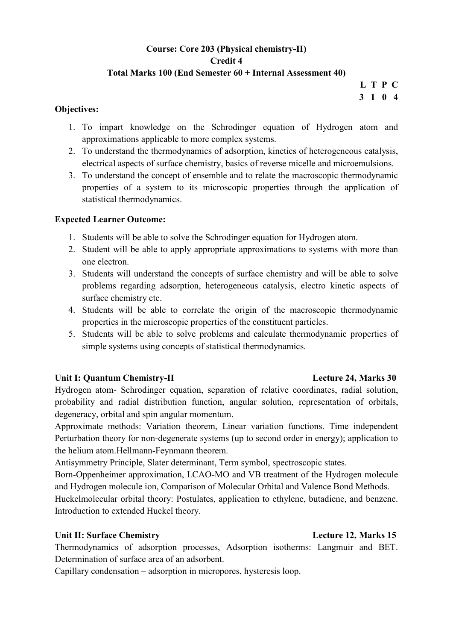# Course: Core 203 (Physical chemistry-II) Credit 4 Total Marks 100 (End Semester 60 + Internal Assessment 40)

L T P C 3 1 0 4

#### Objectives:

- 1. To impart knowledge on the Schrodinger equation of Hydrogen atom and approximations applicable to more complex systems.
- 2. To understand the thermodynamics of adsorption, kinetics of heterogeneous catalysis, electrical aspects of surface chemistry, basics of reverse micelle and microemulsions.
- 3. To understand the concept of ensemble and to relate the macroscopic thermodynamic properties of a system to its microscopic properties through the application of statistical thermodynamics.

# Expected Learner Outcome:

- 1. Students will be able to solve the Schrodinger equation for Hydrogen atom.
- 2. Student will be able to apply appropriate approximations to systems with more than one electron.
- 3. Students will understand the concepts of surface chemistry and will be able to solve problems regarding adsorption, heterogeneous catalysis, electro kinetic aspects of surface chemistry etc.
- 4. Students will be able to correlate the origin of the macroscopic thermodynamic properties in the microscopic properties of the constituent particles.
- 5. Students will be able to solve problems and calculate thermodynamic properties of simple systems using concepts of statistical thermodynamics.

## Unit I: Quantum Chemistry-II Lecture 24, Marks 30

Hydrogen atom- Schrodinger equation, separation of relative coordinates, radial solution, probability and radial distribution function, angular solution, representation of orbitals, degeneracy, orbital and spin angular momentum.

Approximate methods: Variation theorem, Linear variation functions. Time independent Perturbation theory for non-degenerate systems (up to second order in energy); application to the helium atom.Hellmann-Feynmann theorem.

Antisymmetry Principle, Slater determinant, Term symbol, spectroscopic states.

Born-Oppenheimer approximation, LCAO-MO and VB treatment of the Hydrogen molecule and Hydrogen molecule ion, Comparison of Molecular Orbital and Valence Bond Methods.

Huckelmolecular orbital theory: Postulates, application to ethylene, butadiene, and benzene. Introduction to extended Huckel theory.

## Unit II: Surface Chemistry Lecture 12, Marks 15

Thermodynamics of adsorption processes, Adsorption isotherms: Langmuir and BET. Determination of surface area of an adsorbent.

Capillary condensation – adsorption in micropores, hysteresis loop.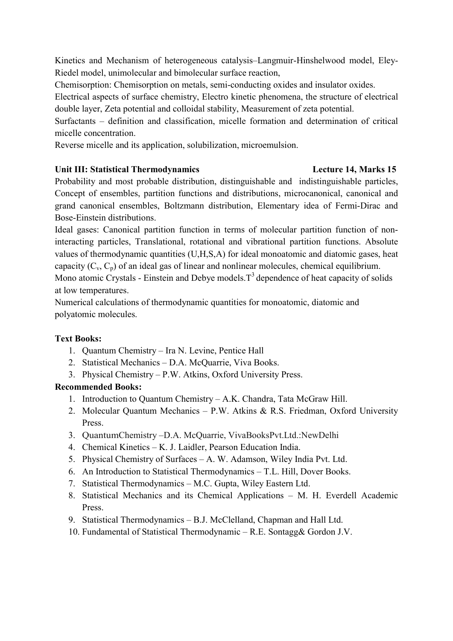Kinetics and Mechanism of heterogeneous catalysis–Langmuir-Hinshelwood model, Eley-Riedel model, unimolecular and bimolecular surface reaction,

Chemisorption: Chemisorption on metals, semi-conducting oxides and insulator oxides.

Electrical aspects of surface chemistry, Electro kinetic phenomena, the structure of electrical double layer, Zeta potential and colloidal stability, Measurement of zeta potential.

Surfactants – definition and classification, micelle formation and determination of critical micelle concentration.

Reverse micelle and its application, solubilization, microemulsion.

# Unit III: Statistical Thermodynamics Lecture 14, Marks 15

Probability and most probable distribution, distinguishable and indistinguishable particles, Concept of ensembles, partition functions and distributions, microcanonical, canonical and grand canonical ensembles, Boltzmann distribution, Elementary idea of Fermi-Dirac and Bose-Einstein distributions.

Ideal gases: Canonical partition function in terms of molecular partition function of noninteracting particles, Translational, rotational and vibrational partition functions. Absolute values of thermodynamic quantities (U,H,S,A) for ideal monoatomic and diatomic gases, heat capacity  $(C_v, C_p)$  of an ideal gas of linear and nonlinear molecules, chemical equilibrium. Mono atomic Crystals - Einstein and Debye models.  $T<sup>3</sup>$  dependence of heat capacity of solids at low temperatures.

Numerical calculations of thermodynamic quantities for monoatomic, diatomic and polyatomic molecules.

# Text Books:

- 1. Quantum Chemistry Ira N. Levine, Pentice Hall
- 2. Statistical Mechanics D.A. McQuarrie, Viva Books.
- 3. Physical Chemistry P.W. Atkins, Oxford University Press.

- 1. Introduction to Quantum Chemistry A.K. Chandra, Tata McGraw Hill.
- 2. Molecular Quantum Mechanics P.W. Atkins & R.S. Friedman, Oxford University Press.
- 3. QuantumChemistry –D.A. McQuarrie, VivaBooksPvt.Ltd.:NewDelhi
- 4. Chemical Kinetics K. J. Laidler, Pearson Education India.
- 5. Physical Chemistry of Surfaces A. W. Adamson, Wiley India Pvt. Ltd.
- 6. An Introduction to Statistical Thermodynamics T.L. Hill, Dover Books.
- 7. Statistical Thermodynamics M.C. Gupta, Wiley Eastern Ltd.
- 8. Statistical Mechanics and its Chemical Applications M. H. Everdell Academic Press.
- 9. Statistical Thermodynamics B.J. McClelland, Chapman and Hall Ltd.
- 10. Fundamental of Statistical Thermodynamic R.E. Sontagg& Gordon J.V.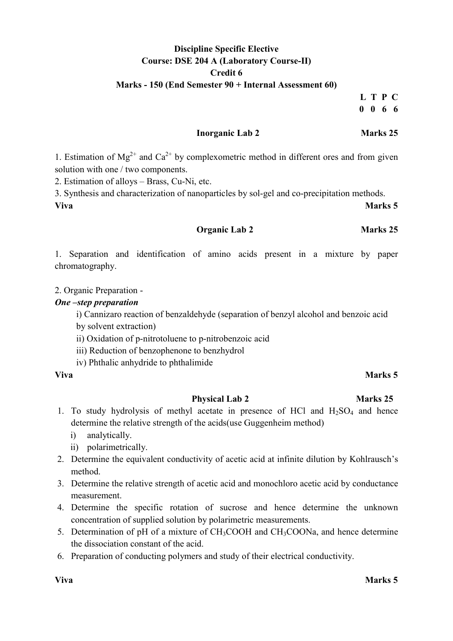# Discipline Specific Elective Course: DSE 204 A (Laboratory Course-II) Credit 6 Marks - 150 (End Semester 90 + Internal Assessment 60)

L T P C 0 0 6 6

### Inorganic Lab 2 Marks 25

1. Estimation of  $Mg^{2+}$  and  $Ca^{2+}$  by complexometric method in different ores and from given solution with one / two components.

2. Estimation of alloys – Brass, Cu-Ni, etc.

3. Synthesis and characterization of nanoparticles by sol-gel and co-precipitation methods. Viva Marks 5

Organic Lab 2 Marks 25

1. Separation and identification of amino acids present in a mixture by paper chromatography.

2. Organic Preparation -

#### One –step preparation

i) Cannizaro reaction of benzaldehyde (separation of benzyl alcohol and benzoic acid by solvent extraction)

- ii) Oxidation of p-nitrotoluene to p-nitrobenzoic acid
- iii) Reduction of benzophenone to benzhydrol
- iv) Phthalic anhydride to phthalimide

#### Physical Lab 2 Marks 25

- 1. To study hydrolysis of methyl acetate in presence of HCl and  $H<sub>2</sub>SO<sub>4</sub>$  and hence determine the relative strength of the acids(use Guggenheim method)
	- i) analytically.
	- ii) polarimetrically.
- 2. Determine the equivalent conductivity of acetic acid at infinite dilution by Kohlrausch's method.
- 3. Determine the relative strength of acetic acid and monochloro acetic acid by conductance measurement.
- 4. Determine the specific rotation of sucrose and hence determine the unknown concentration of supplied solution by polarimetric measurements.
- 5. Determination of pH of a mixture of CH3COOH and CH3COONa, and hence determine the dissociation constant of the acid.
- 6. Preparation of conducting polymers and study of their electrical conductivity.

#### Viva Marks 5

# Viva Marks 5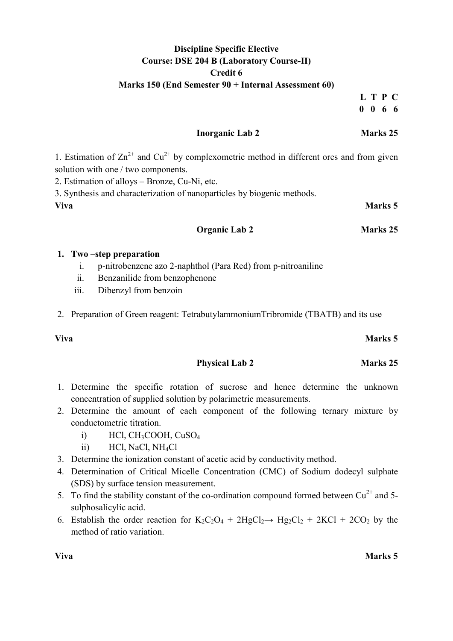# Discipline Specific Elective Course: DSE 204 B (Laboratory Course-II) Credit 6 Marks 150 (End Semester 90 + Internal Assessment 60)

L T P C 0 0 6 6

### Inorganic Lab 2 Marks 25

1. Estimation of  $\text{Zn}^{2+}$  and  $\text{Cu}^{2+}$  by complexometric method in different ores and from given solution with one / two components.

2. Estimation of alloys – Bronze, Cu-Ni, etc.

3. Synthesis and characterization of nanoparticles by biogenic methods.

# Viva Marks 5

#### Organic Lab 2 Marks 25

#### 1. Two –step preparation

- i. p-nitrobenzene azo 2-naphthol (Para Red) from p-nitroaniline
- ii. Benzanilide from benzophenone
- iii. Dibenzyl from benzoin
- 2. Preparation of Green reagent: TetrabutylammoniumTribromide (TBATB) and its use

#### Viva Marks 5

- Physical Lab 2 Marks 25
- 1. Determine the specific rotation of sucrose and hence determine the unknown concentration of supplied solution by polarimetric measurements.
- 2. Determine the amount of each component of the following ternary mixture by conductometric titration.
	- i)  $\text{HCl}_3\text{COOH}_3\text{CuSO}_4$
	- ii) HCl, NaCl, NH4Cl
- 3. Determine the ionization constant of acetic acid by conductivity method.
- 4. Determination of Critical Micelle Concentration (CMC) of Sodium dodecyl sulphate (SDS) by surface tension measurement.
- 5. To find the stability constant of the co-ordination compound formed between  $Cu^{2+}$  and 5sulphosalicylic acid.
- 6. Establish the order reaction for  $K_2C_2O_4 + 2HgCl_2 \rightarrow Hg_2Cl_2 + 2KCl + 2CO_2$  by the method of ratio variation.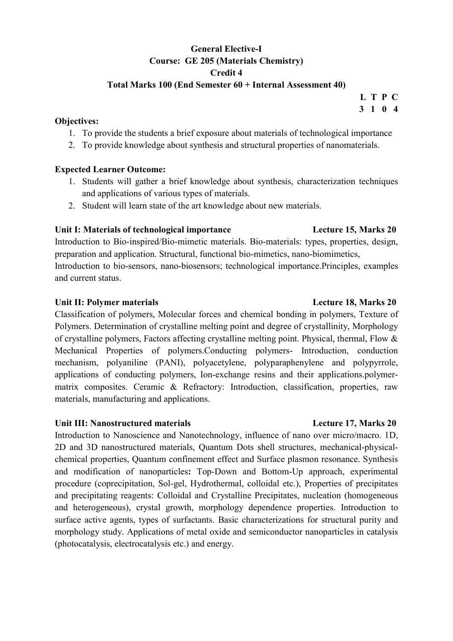# General Elective-I Course: GE 205 (Materials Chemistry) Credit 4

### Total Marks 100 (End Semester 60 + Internal Assessment 40)

#### Objectives:

- 1. To provide the students a brief exposure about materials of technological importance
- 2. To provide knowledge about synthesis and structural properties of nanomaterials.

#### Expected Learner Outcome:

- 1. Students will gather a brief knowledge about synthesis, characterization techniques and applications of various types of materials.
- 2. Student will learn state of the art knowledge about new materials.

### Unit I: Materials of technological importance Lecture 15, Marks 20

Introduction to Bio-inspired/Bio-mimetic materials. Bio-materials: types, properties, design, preparation and application. Structural, functional bio-mimetics, nano-biomimetics, Introduction to bio-sensors, nano-biosensors; technological importance.Principles, examples and current status.

### Unit II: Polymer materials **Lecture 18, Marks 20**

Classification of polymers, Molecular forces and chemical bonding in polymers, Texture of Polymers. Determination of crystalline melting point and degree of crystallinity, Morphology of crystalline polymers, Factors affecting crystalline melting point. Physical, thermal, Flow & Mechanical Properties of polymers.Conducting polymers- Introduction, conduction mechanism, polyaniline (PANI), polyacetylene, polyparaphenylene and polypyrrole, applications of conducting polymers, Ion-exchange resins and their applications.polymermatrix composites. Ceramic & Refractory: Introduction, classification, properties, raw materials, manufacturing and applications.

#### Unit III: Nanostructured materials **Lecture 17, Marks 20**

Introduction to Nanoscience and Nanotechnology, influence of nano over micro/macro. 1D, 2D and 3D nanostructured materials, Quantum Dots shell structures, mechanical-physicalchemical properties, Quantum confinement effect and Surface plasmon resonance. Synthesis and modification of nanoparticles: Top-Down and Bottom-Up approach, experimental procedure (coprecipitation, Sol-gel, Hydrothermal, colloidal etc.), Properties of precipitates and precipitating reagents: Colloidal and Crystalline Precipitates, nucleation (homogeneous and heterogeneous), crystal growth, morphology dependence properties. Introduction to surface active agents, types of surfactants. Basic characterizations for structural purity and morphology study. Applications of metal oxide and semiconductor nanoparticles in catalysis (photocatalysis, electrocatalysis etc.) and energy.

#### L T P C 3 1 0 4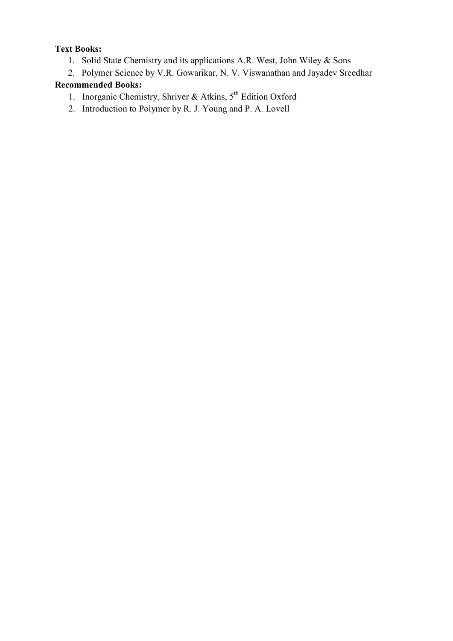# Text Books:

- 1. Solid State Chemistry and its applications A.R. West, John Wiley & Sons
- 2. Polymer Science by V.R. Gowarikar, N. V. Viswanathan and Jayadev Sreedhar

- 1. Inorganic Chemistry, Shriver & Atkins,  $5<sup>th</sup>$  Edition Oxford
- 2. Introduction to Polymer by R. J. Young and P. A. Lovell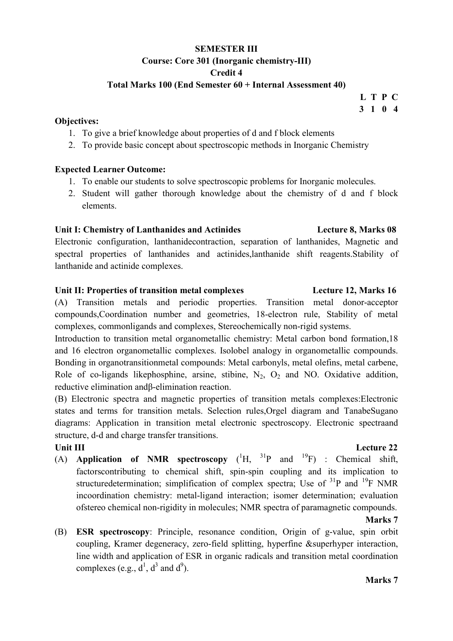# SEMESTER III Course: Core 301 (Inorganic chemistry-III) Credit 4

#### Total Marks 100 (End Semester 60 + Internal Assessment 40)

#### Objectives:

- 1. To give a brief knowledge about properties of d and f block elements
- 2. To provide basic concept about spectroscopic methods in Inorganic Chemistry

#### Expected Learner Outcome:

- 1. To enable our students to solve spectroscopic problems for Inorganic molecules.
- 2. Student will gather thorough knowledge about the chemistry of d and f block elements.

#### Unit I: Chemistry of Lanthanides and Actinides Lecture 8, Marks 08

Electronic configuration, lanthanidecontraction, separation of lanthanides, Magnetic and spectral properties of lanthanides and actinides,lanthanide shift reagents.Stability of lanthanide and actinide complexes.

### Unit II: Properties of transition metal complexes Lecture 12, Marks 16

(A) Transition metals and periodic properties. Transition metal donor-acceptor compounds,Coordination number and geometries, 18-electron rule, Stability of metal complexes, commonligands and complexes, Stereochemically non-rigid systems.

Introduction to transition metal organometallic chemistry: Metal carbon bond formation,18 and 16 electron organometallic complexes. Isolobel analogy in organometallic compounds. Bonding in organotransitionmetal compounds: Metal carbonyls, metal olefins, metal carbene, Role of co-ligands likephosphine, arsine, stibine,  $N_2$ ,  $O_2$  and NO. Oxidative addition, reductive elimination andβ-elimination reaction.

(B) Electronic spectra and magnetic properties of transition metals complexes:Electronic states and terms for transition metals. Selection rules,Orgel diagram and TanabeSugano diagrams: Application in transition metal electronic spectroscopy. Electronic spectraand structure, d-d and charge transfer transitions.

# Unit III Lecture 22

(A) Application of NMR spectroscopy  $(^1H, ^{31}P$  and  $^{19}F)$  : Chemical shift, factorscontributing to chemical shift, spin-spin coupling and its implication to structuredetermination; simplification of complex spectra; Use of  $^{31}P$  and  $^{19}F$  NMR incoordination chemistry: metal-ligand interaction; isomer determination; evaluation ofstereo chemical non-rigidity in molecules; NMR spectra of paramagnetic compounds.

#### Marks 7

(B) ESR spectroscopy: Principle, resonance condition, Origin of g-value, spin orbit coupling, Kramer degeneracy, zero-field splitting, hyperfine &superhyper interaction, line width and application of ESR in organic radicals and transition metal coordination complexes (e.g.,  $d^1$ ,  $d^3$  and  $d^9$ ).

L T P C 3 1 0 4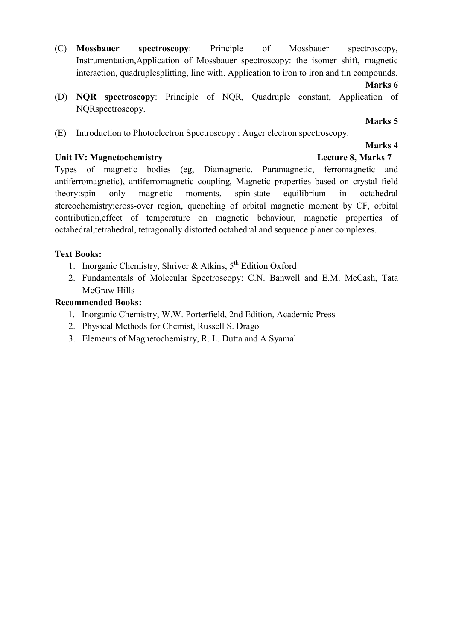(C) Mossbauer spectroscopy: Principle of Mossbauer spectroscopy, Instrumentation,Application of Mossbauer spectroscopy: the isomer shift, magnetic interaction, quadruplesplitting, line with. Application to iron to iron and tin compounds.

#### Marks 6

(D) NQR spectroscopy: Principle of NQR, Quadruple constant, Application of NQRspectroscopy.

### Marks 5

Marks 4

(E) Introduction to Photoelectron Spectroscopy : Auger electron spectroscopy.

### Unit IV: Magnetochemistry Lecture 8, Marks 7

Types of magnetic bodies (eg, Diamagnetic, Paramagnetic, ferromagnetic and antiferromagnetic), antiferromagnetic coupling, Magnetic properties based on crystal field theory:spin only magnetic moments, spin-state equilibrium in octahedral stereochemistry:cross-over region, quenching of orbital magnetic moment by CF, orbital contribution,effect of temperature on magnetic behaviour, magnetic properties of octahedral,tetrahedral, tetragonally distorted octahedral and sequence planer complexes.

# Text Books:

- 1. Inorganic Chemistry, Shriver & Atkins,  $5<sup>th</sup>$  Edition Oxford
- 2. Fundamentals of Molecular Spectroscopy: C.N. Banwell and E.M. McCash, Tata McGraw Hills

- 1. Inorganic Chemistry, W.W. Porterfield, 2nd Edition, Academic Press
- 2. Physical Methods for Chemist, Russell S. Drago
- 3. Elements of Magnetochemistry, R. L. Dutta and A Syamal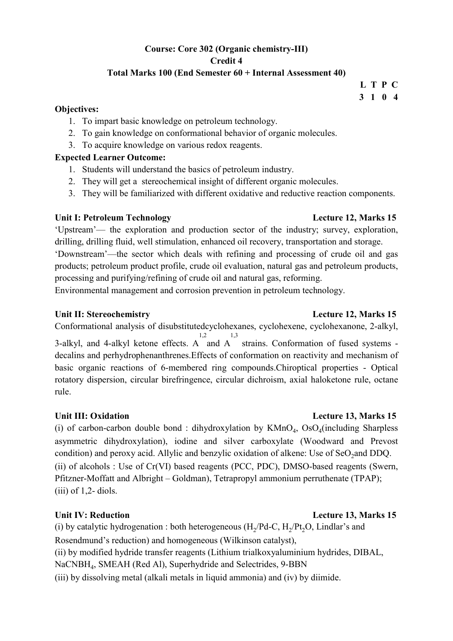# Course: Core 302 (Organic chemistry-III) Credit 4

# Total Marks 100 (End Semester 60 + Internal Assessment 40)

#### Objectives:

- 1. To impart basic knowledge on petroleum technology.
- 2. To gain knowledge on conformational behavior of organic molecules.
- 3. To acquire knowledge on various redox reagents.

### Expected Learner Outcome:

- 1. Students will understand the basics of petroleum industry.
- 2. They will get a stereochemical insight of different organic molecules.
- 3. They will be familiarized with different oxidative and reductive reaction components.

### Unit I: Petroleum Technology Lecture 12, Marks 15

'Upstream'— the exploration and production sector of the industry; survey, exploration, drilling, drilling fluid, well stimulation, enhanced oil recovery, transportation and storage.

'Downstream'—the sector which deals with refining and processing of crude oil and gas products; petroleum product profile, crude oil evaluation, natural gas and petroleum products, processing and purifying/refining of crude oil and natural gas, reforming.

Environmental management and corrosion prevention in petroleum technology.

#### Unit II: Stereochemistry **Lecture 12, Marks 15**

Conformational analysis of disubstitutedcyclohexanes, cyclohexene, cyclohexanone, 2-alkyl, 3-alkyl, and 4-alkyl ketone effects. A and A strains. Conformation of fused systems - 1,2 1,3 decalins and perhydrophenanthrenes.Effects of conformation on reactivity and mechanism of basic organic reactions of 6-membered ring compounds.Chiroptical properties - Optical rotatory dispersion, circular birefringence, circular dichroism, axial haloketone rule, octane rule.

## Unit III: Oxidation Lecture 13, Marks 15

(i) of carbon-carbon double bond : dihydroxylation by  $KMnO<sub>4</sub>$ ,  $OsO<sub>4</sub>(including Sharpless)$ asymmetric dihydroxylation), iodine and silver carboxylate (Woodward and Prevost condition) and peroxy acid. Allylic and benzylic oxidation of alkene: Use of SeO<sub>2</sub>and DDQ. (ii) of alcohols : Use of Cr(VI) based reagents (PCC, PDC), DMSO-based reagents (Swern, Pfitzner-Moffatt and Albright – Goldman), Tetrapropyl ammonium perruthenate (TPAP);  $(iii)$  of 1,2- diols.

#### Unit IV: Reduction **Lecture 13, Marks** 15

(i) by catalytic hydrogenation : both heterogeneous  $(H_2/pd-C, H_2/Pt_2O, Lindlar's$  and Rosendmund's reduction) and homogeneous (Wilkinson catalyst), (ii) by modified hydride transfer reagents (Lithium trialkoxyaluminium hydrides, DIBAL,

NaCNBH<sup>4</sup> , SMEAH (Red Al), Superhydride and Selectrides, 9-BBN

(iii) by dissolving metal (alkali metals in liquid ammonia) and (iv) by diimide.

 L T P C 3 1 0 4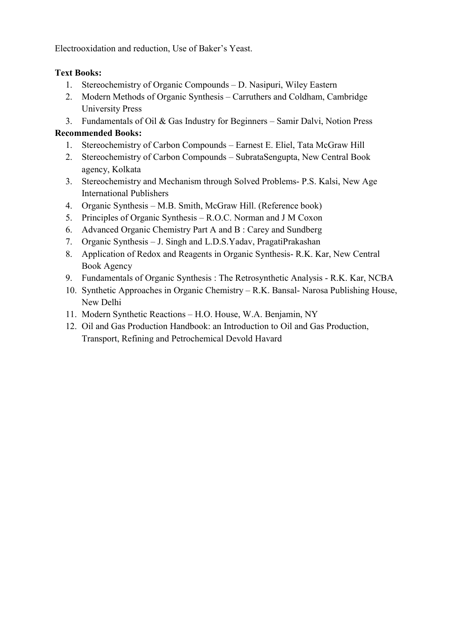Electrooxidation and reduction, Use of Baker's Yeast.

# Text Books:

- 1. Stereochemistry of Organic Compounds D. Nasipuri, Wiley Eastern
- 2. Modern Methods of Organic Synthesis Carruthers and Coldham, Cambridge University Press
- 3. Fundamentals of Oil & Gas Industry for Beginners Samir Dalvi, Notion Press

- 1. Stereochemistry of Carbon Compounds Earnest E. Eliel, Tata McGraw Hill
- 2. Stereochemistry of Carbon Compounds SubrataSengupta, New Central Book agency, Kolkata
- 3. Stereochemistry and Mechanism through Solved Problems- P.S. Kalsi, New Age International Publishers
- 4. Organic Synthesis M.B. Smith, McGraw Hill. (Reference book)
- 5. Principles of Organic Synthesis R.O.C. Norman and J M Coxon
- 6. Advanced Organic Chemistry Part A and B : Carey and Sundberg
- 7. Organic Synthesis J. Singh and L.D.S.Yadav, PragatiPrakashan
- 8. Application of Redox and Reagents in Organic Synthesis- R.K. Kar, New Central Book Agency
- 9. Fundamentals of Organic Synthesis : The Retrosynthetic Analysis R.K. Kar, NCBA
- 10. Synthetic Approaches in Organic Chemistry R.K. Bansal- Narosa Publishing House, New Delhi
- 11. Modern Synthetic Reactions H.O. House, W.A. Benjamin, NY
- 12. Oil and Gas Production Handbook: an Introduction to Oil and Gas Production, Transport, Refining and Petrochemical Devold Havard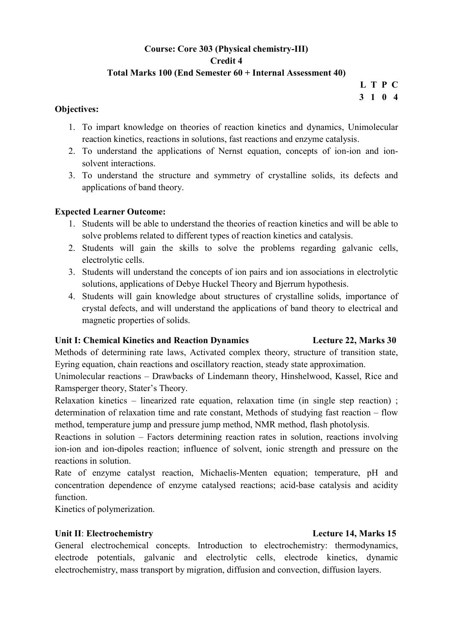# Course: Core 303 (Physical chemistry-III) Credit 4 Total Marks 100 (End Semester 60 + Internal Assessment 40)

L T P C 3 1 0 4

### Objectives:

- 1. To impart knowledge on theories of reaction kinetics and dynamics, Unimolecular reaction kinetics, reactions in solutions, fast reactions and enzyme catalysis.
- 2. To understand the applications of Nernst equation, concepts of ion-ion and ionsolvent interactions.
- 3. To understand the structure and symmetry of crystalline solids, its defects and applications of band theory.

# Expected Learner Outcome:

- 1. Students will be able to understand the theories of reaction kinetics and will be able to solve problems related to different types of reaction kinetics and catalysis.
- 2. Students will gain the skills to solve the problems regarding galvanic cells, electrolytic cells.
- 3. Students will understand the concepts of ion pairs and ion associations in electrolytic solutions, applications of Debye Huckel Theory and Bjerrum hypothesis.
- 4. Students will gain knowledge about structures of crystalline solids, importance of crystal defects, and will understand the applications of band theory to electrical and magnetic properties of solids.

# Unit I: Chemical Kinetics and Reaction Dynamics Lecture 22, Marks 30

Methods of determining rate laws, Activated complex theory, structure of transition state, Eyring equation, chain reactions and oscillatory reaction, steady state approximation.

Unimolecular reactions – Drawbacks of Lindemann theory, Hinshelwood, Kassel, Rice and Ramsperger theory, Stater's Theory.

Relaxation kinetics – linearized rate equation, relaxation time (in single step reaction) ; determination of relaxation time and rate constant, Methods of studying fast reaction – flow method, temperature jump and pressure jump method, NMR method, flash photolysis.

Reactions in solution – Factors determining reaction rates in solution, reactions involving ion-ion and ion-dipoles reaction; influence of solvent, ionic strength and pressure on the reactions in solution.

Rate of enzyme catalyst reaction, Michaelis-Menten equation; temperature, pH and concentration dependence of enzyme catalysed reactions; acid-base catalysis and acidity function.

Kinetics of polymerization.

## Unit II: Electrochemistry **Lecture 14, Marks 15**

General electrochemical concepts. Introduction to electrochemistry: thermodynamics, electrode potentials, galvanic and electrolytic cells, electrode kinetics, dynamic electrochemistry, mass transport by migration, diffusion and convection, diffusion layers.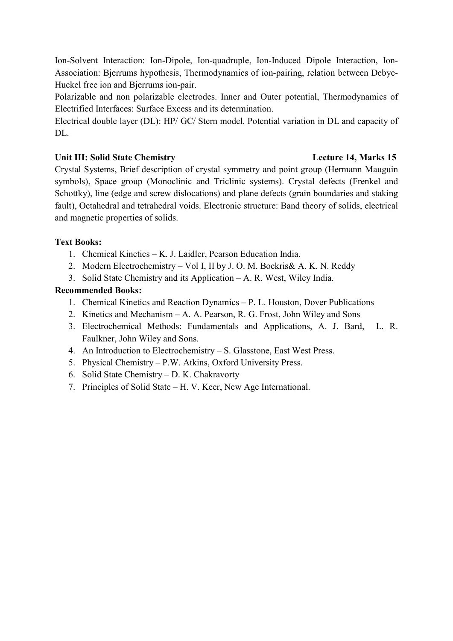Ion-Solvent Interaction: Ion-Dipole, Ion-quadruple, Ion-Induced Dipole Interaction, Ion-Association: Bjerrums hypothesis, Thermodynamics of ion-pairing, relation between Debye-Huckel free ion and Bjerrums ion-pair.

Polarizable and non polarizable electrodes. Inner and Outer potential, Thermodynamics of Electrified Interfaces: Surface Excess and its determination.

Electrical double layer (DL): HP/ GC/ Stern model. Potential variation in DL and capacity of DL.

## Unit III: Solid State Chemistry **Lecture 14, Marks 15**

Crystal Systems, Brief description of crystal symmetry and point group (Hermann Mauguin symbols), Space group (Monoclinic and Triclinic systems). Crystal defects (Frenkel and Schottky), line (edge and screw dislocations) and plane defects (grain boundaries and staking fault), Octahedral and tetrahedral voids. Electronic structure: Band theory of solids, electrical and magnetic properties of solids.

# Text Books:

- 1. Chemical Kinetics K. J. Laidler, Pearson Education India.
- 2. Modern Electrochemistry Vol I, II by J. O. M. Bockris& A. K. N. Reddy
- 3. Solid State Chemistry and its Application A. R. West, Wiley India.

- 1. Chemical Kinetics and Reaction Dynamics P. L. Houston, Dover Publications
- 2. Kinetics and Mechanism A. A. Pearson, R. G. Frost, John Wiley and Sons
- 3. Electrochemical Methods: Fundamentals and Applications, A. J. Bard, L. R. Faulkner, John Wiley and Sons.
- 4. An Introduction to Electrochemistry S. Glasstone, East West Press.
- 5. Physical Chemistry P.W. Atkins, Oxford University Press.
- 6. Solid State Chemistry D. K. Chakravorty
- 7. Principles of Solid State H. V. Keer, New Age International.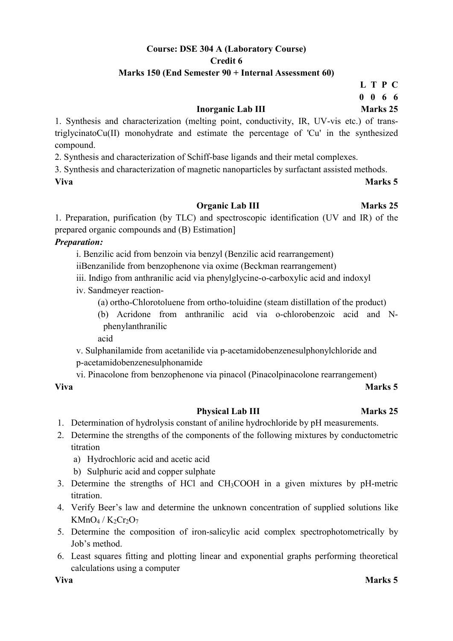# Course: DSE 304 A (Laboratory Course) Credit 6

### Marks 150 (End Semester 90 + Internal Assessment 60)

L T P C 0 0 6 6

## Inorganic Lab III Marks 25

1. Synthesis and characterization (melting point, conductivity, IR, UV-vis etc.) of transtriglycinatoCu(II) monohydrate and estimate the percentage of 'Cu' in the synthesized compound.

2. Synthesis and characterization of Schiff-base ligands and their metal complexes.

3. Synthesis and characterization of magnetic nanoparticles by surfactant assisted methods. Viva Marks 5

#### Organic Lab III Marks 25

1. Preparation, purification (by TLC) and spectroscopic identification (UV and IR) of the prepared organic compounds and (B) Estimation]

#### Preparation:

i. Benzilic acid from benzoin via benzyl (Benzilic acid rearrangement)

iiBenzanilide from benzophenone via oxime (Beckman rearrangement)

iii. Indigo from anthranilic acid via phenylglycine-o-carboxylic acid and indoxyl

- iv. Sandmeyer reaction-
	- (a) ortho-Chlorotoluene from ortho-toluidine (steam distillation of the product)
	- (b) Acridone from anthranilic acid via o-chlorobenzoic acid and Nphenylanthranilic

acid

v. Sulphanilamide from acetanilide via p-acetamidobenzenesulphonylchloride and p-acetamidobenzenesulphonamide

vi. Pinacolone from benzophenone via pinacol (Pinacolpinacolone rearrangement)

#### Viva Marks 5

## Physical Lab III Marks 25

- 1. Determination of hydrolysis constant of aniline hydrochloride by pH measurements.
- 2. Determine the strengths of the components of the following mixtures by conductometric titration
	- a) Hydrochloric acid and acetic acid
	- b) Sulphuric acid and copper sulphate
- 3. Determine the strengths of HCl and CH3COOH in a given mixtures by pH-metric titration.
- 4. Verify Beer's law and determine the unknown concentration of supplied solutions like  $KMnO<sub>4</sub> / K<sub>2</sub>Cr<sub>2</sub>O<sub>7</sub>$
- 5. Determine the composition of iron-salicylic acid complex spectrophotometrically by Job's method.
- 6. Least squares fitting and plotting linear and exponential graphs performing theoretical calculations using a computer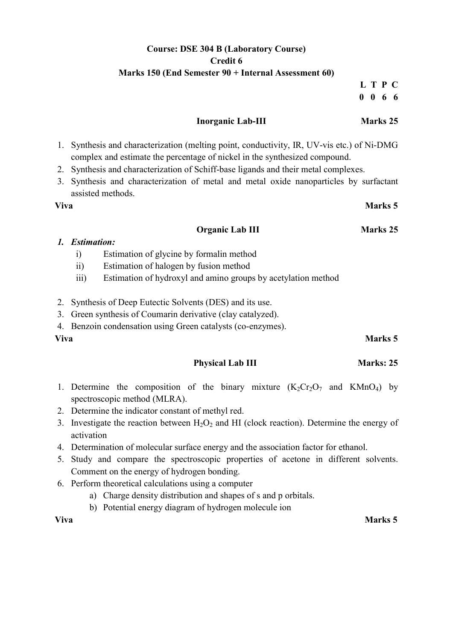# Course: DSE 304 B (Laboratory Course) Credit 6 Marks 150 (End Semester 90 + Internal Assessment 60)

#### L T P C 0 0 6 6

#### Inorganic Lab-III Marks 25

- 1. Synthesis and characterization (melting point, conductivity, IR, UV-vis etc.) of Ni-DMG complex and estimate the percentage of nickel in the synthesized compound.
- 2. Synthesis and characterization of Schiff-base ligands and their metal complexes.
- 3. Synthesis and characterization of metal and metal oxide nanoparticles by surfactant assisted methods.

### Viva Marks 5

#### Organic Lab III Marks 25

### 1. Estimation:

- i) Estimation of glycine by formalin method
- ii) Estimation of halogen by fusion method
- iii) Estimation of hydroxyl and amino groups by acetylation method
- 2. Synthesis of Deep Eutectic Solvents (DES) and its use.
- 3. Green synthesis of Coumarin derivative (clay catalyzed).
- 4. Benzoin condensation using Green catalysts (co-enzymes).

## Physical Lab III Marks: 25

- 1. Determine the composition of the binary mixture  $(K_2Cr_2O_7$  and  $KMnO_4$ ) by spectroscopic method (MLRA).
- 2. Determine the indicator constant of methyl red.
- 3. Investigate the reaction between  $H_2O_2$  and HI (clock reaction). Determine the energy of activation
- 4. Determination of molecular surface energy and the association factor for ethanol.
- 5. Study and compare the spectroscopic properties of acetone in different solvents. Comment on the energy of hydrogen bonding.
- 6. Perform theoretical calculations using a computer
	- a) Charge density distribution and shapes of s and p orbitals.
	- b) Potential energy diagram of hydrogen molecule ion

Viva Marks 5

# Viva Marks 5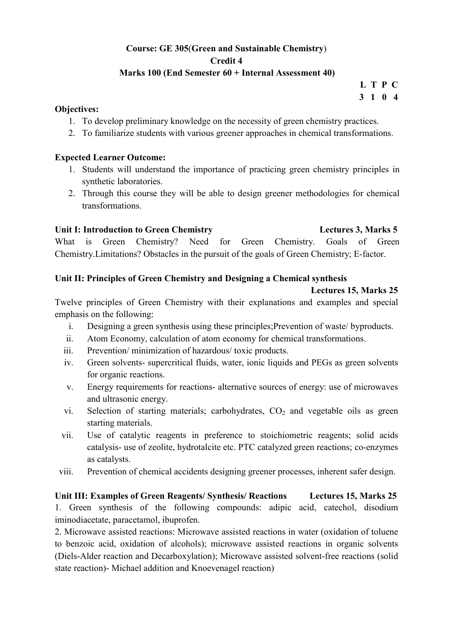# Course: GE 305(Green and Sustainable Chemistry) Credit 4

# Marks 100 (End Semester 60 + Internal Assessment 40)

L T P C 3 1 0 4

### Objectives:

- 1. To develop preliminary knowledge on the necessity of green chemistry practices.
- 2. To familiarize students with various greener approaches in chemical transformations.

## Expected Learner Outcome:

- 1. Students will understand the importance of practicing green chemistry principles in synthetic laboratories.
- 2. Through this course they will be able to design greener methodologies for chemical transformations.

## Unit I: Introduction to Green Chemistry Lectures 3, Marks 5

What is Green Chemistry? Need for Green Chemistry. Goals of Green Chemistry.Limitations? Obstacles in the pursuit of the goals of Green Chemistry; E-factor.

## Unit II: Principles of Green Chemistry and Designing a Chemical synthesis

### Lectures 15, Marks 25

Twelve principles of Green Chemistry with their explanations and examples and special emphasis on the following:

- i. Designing a green synthesis using these principles;Prevention of waste/ byproducts.
- ii. Atom Economy, calculation of atom economy for chemical transformations.
- iii. Prevention/ minimization of hazardous/ toxic products.
- iv. Green solvents- supercritical fluids, water, ionic liquids and PEGs as green solvents for organic reactions.
- v. Energy requirements for reactions- alternative sources of energy: use of microwaves and ultrasonic energy.
- vi. Selection of starting materials; carbohydrates,  $CO<sub>2</sub>$  and vegetable oils as green starting materials.
- vii. Use of catalytic reagents in preference to stoichiometric reagents; solid acids catalysis- use of zeolite, hydrotalcite etc. PTC catalyzed green reactions; co-enzymes as catalysts.
- viii. Prevention of chemical accidents designing greener processes, inherent safer design.

Unit III: Examples of Green Reagents/ Synthesis/ Reactions Lectures 15, Marks 25 1. Green synthesis of the following compounds: adipic acid, catechol, disodium iminodiacetate, paracetamol, ibuprofen.

2. Microwave assisted reactions: Microwave assisted reactions in water (oxidation of toluene to benzoic acid, oxidation of alcohols); microwave assisted reactions in organic solvents (Diels-Alder reaction and Decarboxylation); Microwave assisted solvent-free reactions (solid state reaction)- Michael addition and Knoevenagel reaction)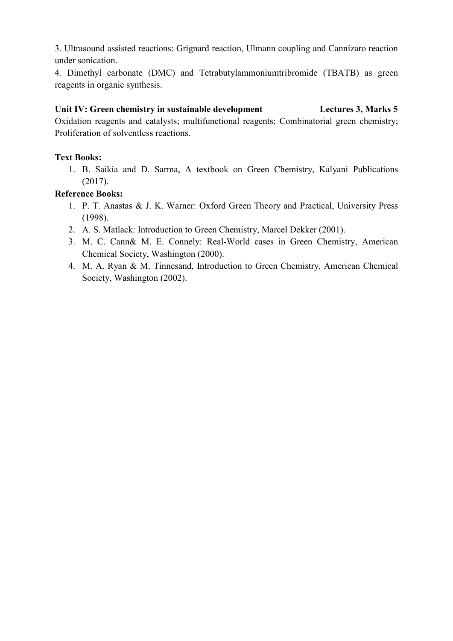3. Ultrasound assisted reactions: Grignard reaction, Ulmann coupling and Cannizaro reaction under sonication.

4. Dimethyl carbonate (DMC) and Tetrabutylammoniumtribromide (TBATB) as green reagents in organic synthesis.

### Unit IV: Green chemistry in sustainable development Lectures 3, Marks 5

Oxidation reagents and catalysts; multifunctional reagents; Combinatorial green chemistry; Proliferation of solventless reactions.

## Text Books:

1. B. Saikia and D. Sarma, A textbook on Green Chemistry, Kalyani Publications (2017).

### Reference Books:

- 1. P. T. Anastas & J. K. Warner: Oxford Green Theory and Practical, University Press (1998).
- 2. A. S. Matlack: Introduction to Green Chemistry, Marcel Dekker (2001).
- 3. M. C. Cann& M. E. Connely: Real-World cases in Green Chemistry, American Chemical Society, Washington (2000).
- 4. M. A. Ryan & M. Tinnesand, Introduction to Green Chemistry, American Chemical Society, Washington (2002).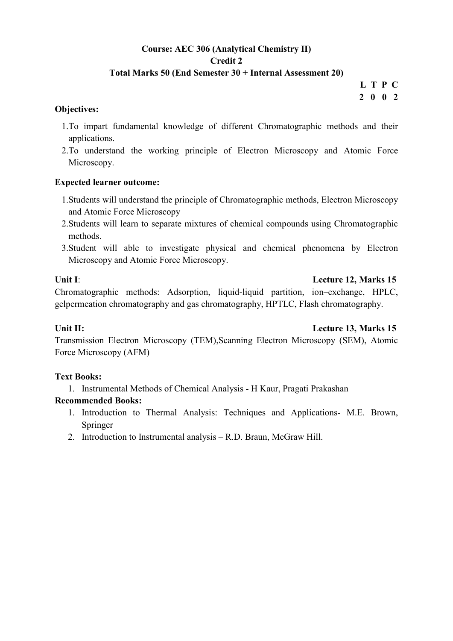# Course: AEC 306 (Analytical Chemistry II) Credit 2

# Total Marks 50 (End Semester 30 + Internal Assessment 20)

L T P C 2 0 0 2

### Objectives:

- 1.To impart fundamental knowledge of different Chromatographic methods and their applications.
- 2.To understand the working principle of Electron Microscopy and Atomic Force Microscopy.

## Expected learner outcome:

- 1.Students will understand the principle of Chromatographic methods, Electron Microscopy and Atomic Force Microscopy
- 2.Students will learn to separate mixtures of chemical compounds using Chromatographic methods.
- 3.Student will able to investigate physical and chemical phenomena by Electron Microscopy and Atomic Force Microscopy.

### Unit I: Lecture 12, Marks 15

Chromatographic methods: Adsorption, liquid-liquid partition, ion–exchange, HPLC, gelpermeation chromatography and gas chromatography, HPTLC, Flash chromatography.

#### Unit II: Lecture 13, Marks 15

Transmission Electron Microscopy (TEM),Scanning Electron Microscopy (SEM), Atomic Force Microscopy (AFM)

## Text Books:

1. Instrumental Methods of Chemical Analysis - H Kaur, Pragati Prakashan

- 1. Introduction to Thermal Analysis: Techniques and Applications- M.E. Brown, Springer
- 2. Introduction to Instrumental analysis R.D. Braun, McGraw Hill.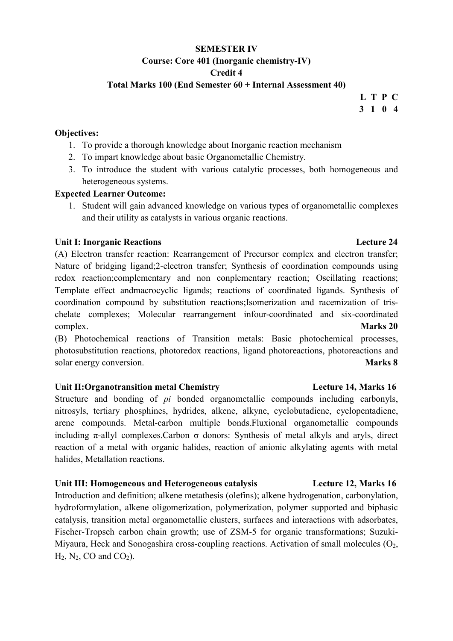# SEMESTER IV Course: Core 401 (Inorganic chemistry-IV) Credit 4

Total Marks 100 (End Semester 60 + Internal Assessment 40)

# L T P C 3 1 0 4

### Objectives:

- 1. To provide a thorough knowledge about Inorganic reaction mechanism
- 2. To impart knowledge about basic Organometallic Chemistry.
- 3. To introduce the student with various catalytic processes, both homogeneous and heterogeneous systems.

## Expected Learner Outcome:

1. Student will gain advanced knowledge on various types of organometallic complexes and their utility as catalysts in various organic reactions.

### Unit I: Inorganic Reactions Lecture 24

(A) Electron transfer reaction: Rearrangement of Precursor complex and electron transfer; Nature of bridging ligand;2-electron transfer; Synthesis of coordination compounds using redox reaction;complementary and non conplementary reaction; Oscillating reactions; Template effect andmacrocyclic ligands; reactions of coordinated ligands. Synthesis of coordination compound by substitution reactions;Isomerization and racemization of trischelate complexes; Molecular rearrangement infour-coordinated and six-coordinated complex. Marks 20

(B) Photochemical reactions of Transition metals: Basic photochemical processes, photosubstitution reactions, photoredox reactions, ligand photoreactions, photoreactions and solar energy conversion. Marks 8

## Unit II:Organotransition metal Chemistry Lecture 14, Marks 16

Structure and bonding of pi bonded organometallic compounds including carbonyls, nitrosyls, tertiary phosphines, hydrides, alkene, alkyne, cyclobutadiene, cyclopentadiene, arene compounds. Metal-carbon multiple bonds.Fluxional organometallic compounds including  $\pi$ -allyl complexes.Carbon  $\sigma$  donors: Synthesis of metal alkyls and aryls, direct reaction of a metal with organic halides, reaction of anionic alkylating agents with metal halides, Metallation reactions.

## Unit III: Homogeneous and Heterogeneous catalysis Lecture 12, Marks 16

Introduction and definition; alkene metathesis (olefins); alkene hydrogenation, carbonylation, hydroformylation, alkene oligomerization, polymerization, polymer supported and biphasic catalysis, transition metal organometallic clusters, surfaces and interactions with adsorbates, Fischer-Tropsch carbon chain growth; use of ZSM-5 for organic transformations; Suzuki-Miyaura, Heck and Sonogashira cross-coupling reactions. Activation of small molecules  $(O_2,$  $H_2$ , N<sub>2</sub>, CO and CO<sub>2</sub>).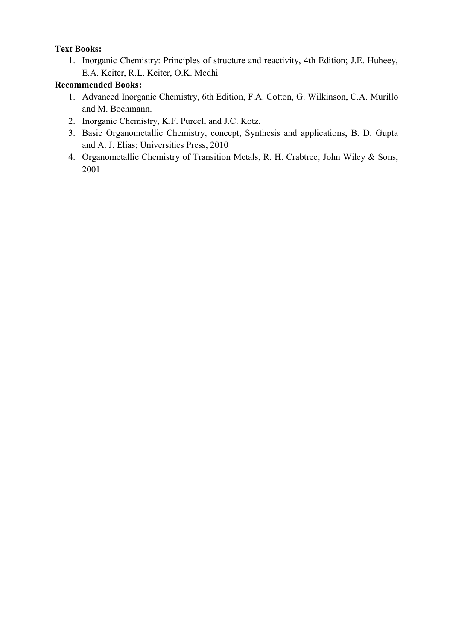# Text Books:

1. Inorganic Chemistry: Principles of structure and reactivity, 4th Edition; J.E. Huheey, E.A. Keiter, R.L. Keiter, O.K. Medhi

- 1. Advanced Inorganic Chemistry, 6th Edition, F.A. Cotton, G. Wilkinson, C.A. Murillo and M. Bochmann.
- 2. Inorganic Chemistry, K.F. Purcell and J.C. Kotz.
- 3. Basic Organometallic Chemistry, concept, Synthesis and applications, B. D. Gupta and A. J. Elias; Universities Press, 2010
- 4. Organometallic Chemistry of Transition Metals, R. H. Crabtree; John Wiley & Sons, 2001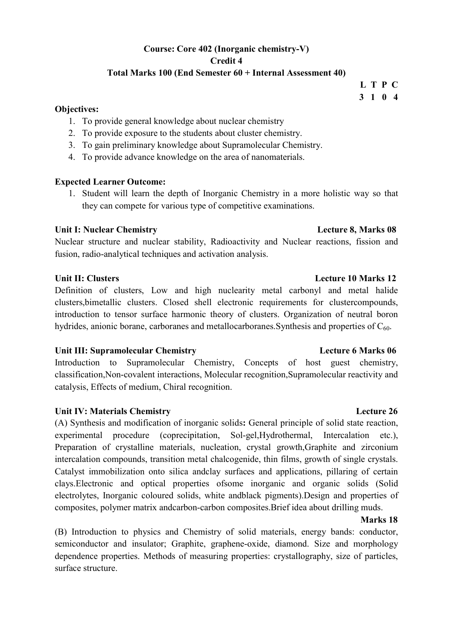# Course: Core 402 (Inorganic chemistry-V) Credit 4 Total Marks 100 (End Semester 60 + Internal Assessment 40)

#### Objectives:

- 1. To provide general knowledge about nuclear chemistry
- 2. To provide exposure to the students about cluster chemistry.
- 3. To gain preliminary knowledge about Supramolecular Chemistry.
- 4. To provide advance knowledge on the area of nanomaterials.

#### Expected Learner Outcome:

1. Student will learn the depth of Inorganic Chemistry in a more holistic way so that they can compete for various type of competitive examinations.

### Unit I: Nuclear Chemistry **Lecture 8, Marks 08**

Nuclear structure and nuclear stability, Radioactivity and Nuclear reactions, fission and fusion, radio-analytical techniques and activation analysis.

#### Unit II: Clusters **Lecture 10 Marks** 12

Definition of clusters, Low and high nuclearity metal carbonyl and metal halide clusters,bimetallic clusters. Closed shell electronic requirements for clustercompounds, introduction to tensor surface harmonic theory of clusters. Organization of neutral boron hydrides, anionic borane, carboranes and metallocarboranes. Synthesis and properties of  $C_{60}$ .

#### Unit III: Supramolecular Chemistry Lecture 6 Marks 06

Introduction to Supramolecular Chemistry, Concepts of host guest chemistry, classification,Non-covalent interactions, Molecular recognition,Supramolecular reactivity and catalysis, Effects of medium, Chiral recognition.

#### Unit IV: Materials Chemistry Lecture 26

(A) Synthesis and modification of inorganic solids: General principle of solid state reaction, experimental procedure (coprecipitation, Sol-gel,Hydrothermal, Intercalation etc.), Preparation of crystalline materials, nucleation, crystal growth,Graphite and zirconium intercalation compounds, transition metal chalcogenide, thin films, growth of single crystals. Catalyst immobilization onto silica andclay surfaces and applications, pillaring of certain clays.Electronic and optical properties ofsome inorganic and organic solids (Solid electrolytes, Inorganic coloured solids, white andblack pigments).Design and properties of composites, polymer matrix andcarbon-carbon composites.Brief idea about drilling muds.

# Marks 18

(B) Introduction to physics and Chemistry of solid materials, energy bands: conductor, semiconductor and insulator; Graphite, graphene-oxide, diamond. Size and morphology dependence properties. Methods of measuring properties: crystallography, size of particles, surface structure.

#### L T P C 3 1 0 4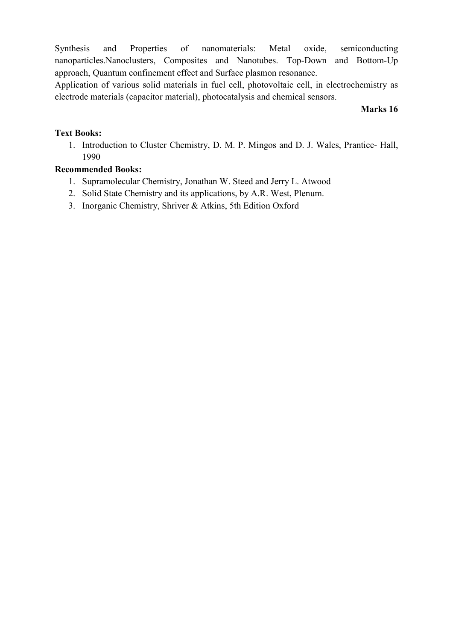Synthesis and Properties of nanomaterials: Metal oxide, semiconducting nanoparticles.Nanoclusters, Composites and Nanotubes. Top-Down and Bottom-Up approach, Quantum confinement effect and Surface plasmon resonance.

Application of various solid materials in fuel cell, photovoltaic cell, in electrochemistry as electrode materials (capacitor material), photocatalysis and chemical sensors.

### Marks 16

### Text Books:

1. Introduction to Cluster Chemistry, D. M. P. Mingos and D. J. Wales, Prantice- Hall, 1990

- 1. Supramolecular Chemistry, Jonathan W. Steed and Jerry L. Atwood
- 2. Solid State Chemistry and its applications, by A.R. West, Plenum.
- 3. Inorganic Chemistry, Shriver & Atkins, 5th Edition Oxford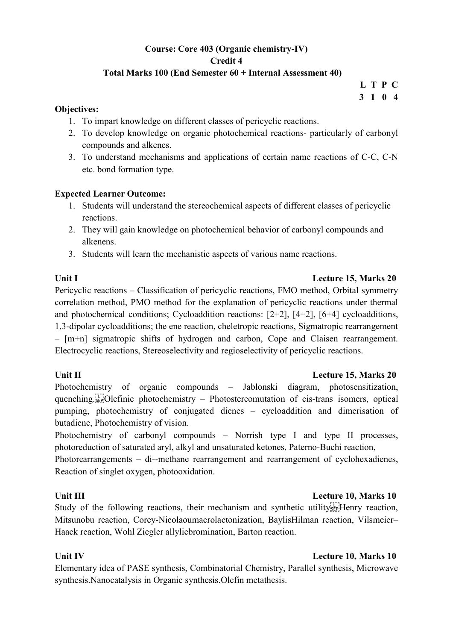# Course: Core 403 (Organic chemistry-IV) Credit 4

## Total Marks 100 (End Semester 60 + Internal Assessment 40)

L T P C 3 1 0 4

#### Objectives:

- 1. To impart knowledge on different classes of pericyclic reactions.
- 2. To develop knowledge on organic photochemical reactions- particularly of carbonyl compounds and alkenes.
- 3. To understand mechanisms and applications of certain name reactions of C-C, C-N etc. bond formation type.

## Expected Learner Outcome:

- 1. Students will understand the stereochemical aspects of different classes of pericyclic reactions.
- 2. They will gain knowledge on photochemical behavior of carbonyl compounds and alkenens.
- 3. Students will learn the mechanistic aspects of various name reactions.

### Unit I Lecture 15, Marks 20

Pericyclic reactions – Classification of pericyclic reactions, FMO method, Orbital symmetry correlation method, PMO method for the explanation of pericyclic reactions under thermal and photochemical conditions; Cycloaddition reactions: [2+2], [4+2], [6+4] cycloadditions, 1,3-dipolar cycloadditions; the ene reaction, cheletropic reactions, Sigmatropic rearrangement – [m+n] sigmatropic shifts of hydrogen and carbon, Cope and Claisen rearrangement. Electrocyclic reactions, Stereoselectivity and regioselectivity of pericyclic reactions.

#### Unit II Lecture 15, Marks 20

Photochemistry of organic compounds – Jablonski diagram, photosensitization, quenching.
Olefinic photochemistry – Photostereomutation of cis-trans isomers, optical pumping, photochemistry of conjugated dienes – cycloaddition and dimerisation of butadiene, Photochemistry of vision.

Photochemistry of carbonyl compounds – Norrish type I and type II processes, photoreduction of saturated aryl, alkyl and unsaturated ketones, Paterno-Buchi reaction,

Photorearrangements – di--methane rearrangement and rearrangement of cyclohexadienes, Reaction of singlet oxygen, photooxidation.

## Unit III **Lecture 10, Marks 10**

Study of the following reactions, their mechanism and synthetic utility  $\mathbb{E}[\text{H}]\text{energy}$  reaction, Mitsunobu reaction, Corey-Nicolaoumacrolactonization, BaylisHilman reaction, Vilsmeier– Haack reaction, Wohl Ziegler allylicbromination, Barton reaction.

## Unit IV Lecture 10, Marks 10

Elementary idea of PASE synthesis, Combinatorial Chemistry, Parallel synthesis, Microwave synthesis.Nanocatalysis in Organic synthesis.Olefin metathesis.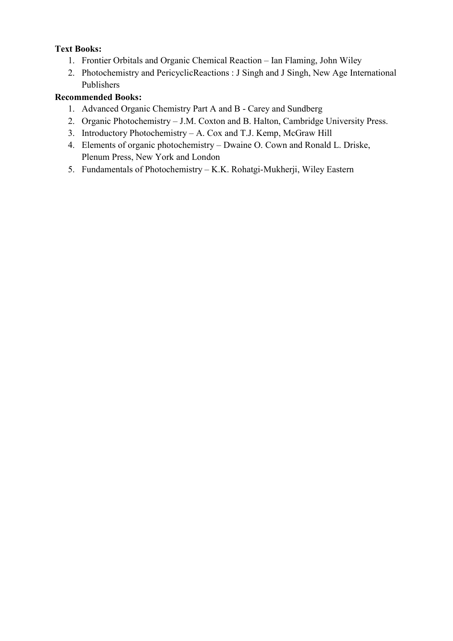# Text Books:

- 1. Frontier Orbitals and Organic Chemical Reaction Ian Flaming, John Wiley
- 2. Photochemistry and PericyclicReactions : J Singh and J Singh, New Age International Publishers

- 1. Advanced Organic Chemistry Part A and B Carey and Sundberg
- 2. Organic Photochemistry J.M. Coxton and B. Halton, Cambridge University Press.
- 3. Introductory Photochemistry A. Cox and T.J. Kemp, McGraw Hill
- 4. Elements of organic photochemistry Dwaine O. Cown and Ronald L. Driske, Plenum Press, New York and London
- 5. Fundamentals of Photochemistry K.K. Rohatgi-Mukherji, Wiley Eastern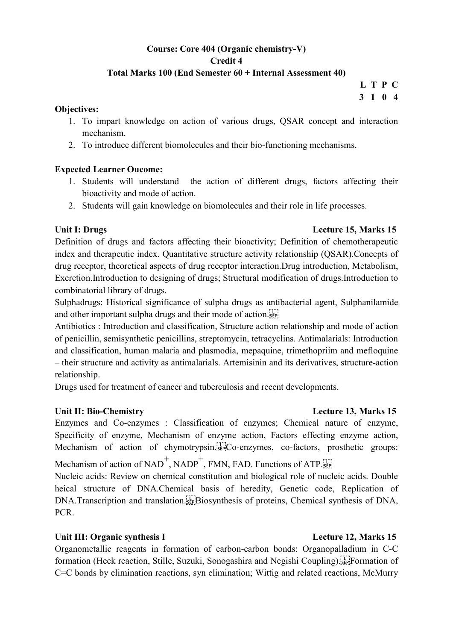# Course: Core 404 (Organic chemistry-V) Credit 4 Total Marks 100 (End Semester 60 + Internal Assessment 40)

 L T P C 3 1 0 4

### Objectives:

- 1. To impart knowledge on action of various drugs, QSAR concept and interaction mechanism.
- 2. To introduce different biomolecules and their bio-functioning mechanisms.

# Expected Learner Oucome:

- 1. Students will understand the action of different drugs, factors affecting their bioactivity and mode of action.
- 2. Students will gain knowledge on biomolecules and their role in life processes.

### Unit I: Drugs Lecture 15, Marks 15

Definition of drugs and factors affecting their bioactivity; Definition of chemotherapeutic index and therapeutic index. Quantitative structure activity relationship (QSAR).Concepts of drug receptor, theoretical aspects of drug receptor interaction.Drug introduction, Metabolism, Excretion.Introduction to designing of drugs; Structural modification of drugs.Introduction to combinatorial library of drugs.

Sulphadrugs: Historical significance of sulpha drugs as antibacterial agent, Sulphanilamide and other important sulpha drugs and their mode of action.

Antibiotics : Introduction and classification, Structure action relationship and mode of action of penicillin, semisynthetic penicillins, streptomycin, tetracyclins. Antimalarials: Introduction and classification, human malaria and plasmodia, mepaquine, trimethopriim and mefloquine – their structure and activity as antimalarials. Artemisinin and its derivatives, structure-action relationship.

Drugs used for treatment of cancer and tuberculosis and recent developments.

# Unit II: Bio-Chemistry Lecture 13, Marks 15

Enzymes and Co-enzymes : Classification of enzymes; Chemical nature of enzyme, Specificity of enzyme, Mechanism of enzyme action, Factors effecting enzyme action, Mechanism of action of chymotrypsin.<sup>[17]</sup>Co-enzymes, co-factors, prosthetic groups:

Mechanism of action of NAD<sup>+</sup>, NADP<sup>+</sup>, FMN, FAD. Functions of ATP.

Nucleic acids: Review on chemical constitution and biological role of nucleic acids. Double heical structure of DNA.Chemical basis of heredity, Genetic code, Replication of DNA.Transcription and translation.<sup>[17]</sup>Biosynthesis of proteins, Chemical synthesis of DNA, PCR.

# Unit III: Organic synthesis I Lecture 12, Marks 15

Organometallic reagents in formation of carbon-carbon bonds: Organopalladium in C-C formation (Heck reaction, Stille, Suzuki, Sonogashira and Negishi Coupling).
Formation of C=C bonds by elimination reactions, syn elimination; Wittig and related reactions, McMurry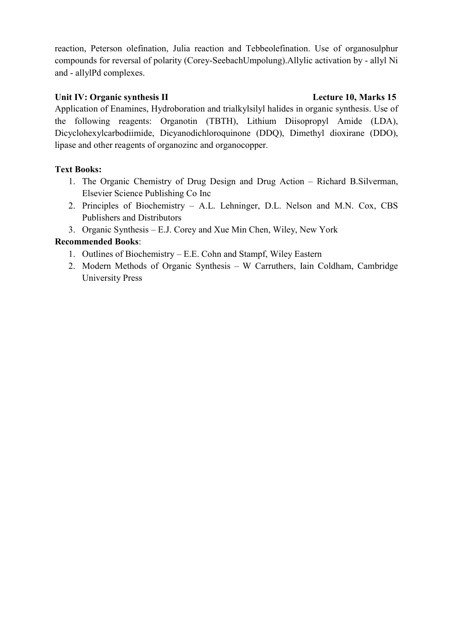reaction, Peterson olefination, Julia reaction and Tebbeolefination. Use of organosulphur compounds for reversal of polarity (Corey-SeebachUmpolung).Allylic activation by - allyl Ni and - allylPd complexes.

# Unit IV: Organic synthesis II Lecture 10, Marks 15

Application of Enamines, Hydroboration and trialkylsilyl halides in organic synthesis. Use of the following reagents: Organotin (TBTH), Lithium Diisopropyl Amide (LDA), Dicyclohexylcarbodiimide, Dicyanodichloroquinone (DDQ), Dimethyl dioxirane (DDO), lipase and other reagents of organozinc and organocopper.

# Text Books:

- 1. The Organic Chemistry of Drug Design and Drug Action Richard B.Silverman, Elsevier Science Publishing Co Inc
- 2. Principles of Biochemistry A.L. Lehninger, D.L. Nelson and M.N. Cox, CBS Publishers and Distributors
- 3. Organic Synthesis E.J. Corey and Xue Min Chen, Wiley, New York

- 1. Outlines of Biochemistry E.E. Cohn and Stampf, Wiley Eastern
- 2. Modern Methods of Organic Synthesis W Carruthers, Iain Coldham, Cambridge University Press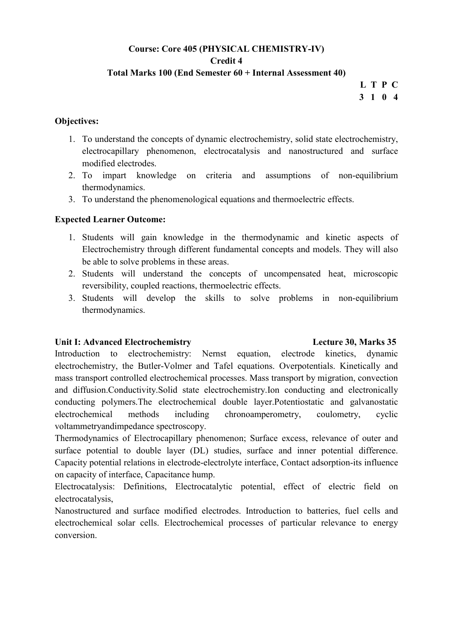# Course: Core 405 (PHYSICAL CHEMISTRY-IV) Credit 4

### Total Marks 100 (End Semester 60 + Internal Assessment 40)

L T P C 3 1 0 4

### Objectives:

- 1. To understand the concepts of dynamic electrochemistry, solid state electrochemistry, electrocapillary phenomenon, electrocatalysis and nanostructured and surface modified electrodes.
- 2. To impart knowledge on criteria and assumptions of non-equilibrium thermodynamics.
- 3. To understand the phenomenological equations and thermoelectric effects.

## Expected Learner Outcome:

- 1. Students will gain knowledge in the thermodynamic and kinetic aspects of Electrochemistry through different fundamental concepts and models. They will also be able to solve problems in these areas.
- 2. Students will understand the concepts of uncompensated heat, microscopic reversibility, coupled reactions, thermoelectric effects.
- 3. Students will develop the skills to solve problems in non-equilibrium thermodynamics.

#### Unit I: Advanced Electrochemistry Lecture 30, Marks 35

Introduction to electrochemistry: Nernst equation, electrode kinetics, dynamic electrochemistry, the Butler-Volmer and Tafel equations. Overpotentials. Kinetically and mass transport controlled electrochemical processes. Mass transport by migration, convection and diffusion.Conductivity.Solid state electrochemistry.Ion conducting and electronically conducting polymers.The electrochemical double layer.Potentiostatic and galvanostatic electrochemical methods including chronoamperometry, coulometry, cyclic voltammetryandimpedance spectroscopy.

Thermodynamics of Electrocapillary phenomenon; Surface excess, relevance of outer and surface potential to double layer (DL) studies, surface and inner potential difference. Capacity potential relations in electrode-electrolyte interface, Contact adsorption-its influence on capacity of interface, Capacitance hump.

Electrocatalysis: Definitions, Electrocatalytic potential, effect of electric field on electrocatalysis,

Nanostructured and surface modified electrodes. Introduction to batteries, fuel cells and electrochemical solar cells. Electrochemical processes of particular relevance to energy conversion.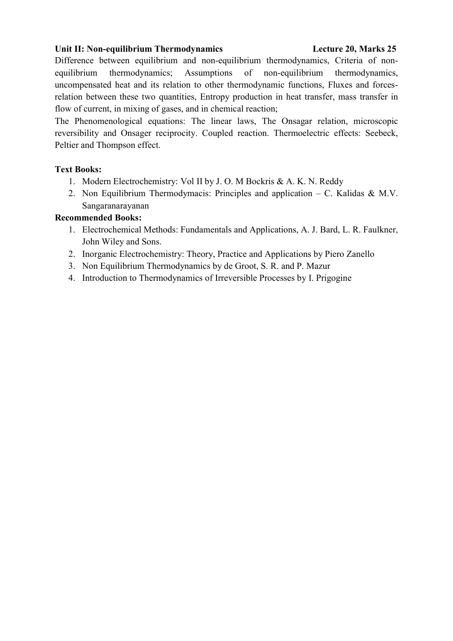### Unit II: Non-equilibrium Thermodynamics Lecture 20, Marks 25

Difference between equilibrium and non-equilibrium thermodynamics, Criteria of nonequilibrium thermodynamics; Assumptions of non-equilibrium thermodynamics, uncompensated heat and its relation to other thermodynamic functions, Fluxes and forcesrelation between these two quantities, Entropy production in heat transfer, mass transfer in flow of current, in mixing of gases, and in chemical reaction;

The Phenomenological equations: The linear laws, The Onsagar relation, microscopic reversibility and Onsager reciprocity. Coupled reaction. Thermoelectric effects: Seebeck, Peltier and Thompson effect.

## Text Books:

- 1. Modern Electrochemistry: Vol II by J. O. M Bockris & A. K. N. Reddy
- 2. Non Equilibrium Thermodymacis: Principles and application C. Kalidas & M.V. Sangaranarayanan

- 1. Electrochemical Methods: Fundamentals and Applications, A. J. Bard, L. R. Faulkner, John Wiley and Sons.
- 2. Inorganic Electrochemistry: Theory, Practice and Applications by Piero Zanello
- 3. Non Equilibrium Thermodynamics by de Groot, S. R. and P. Mazur
- 4. Introduction to Thermodynamics of Irreversible Processes by I. Prigogine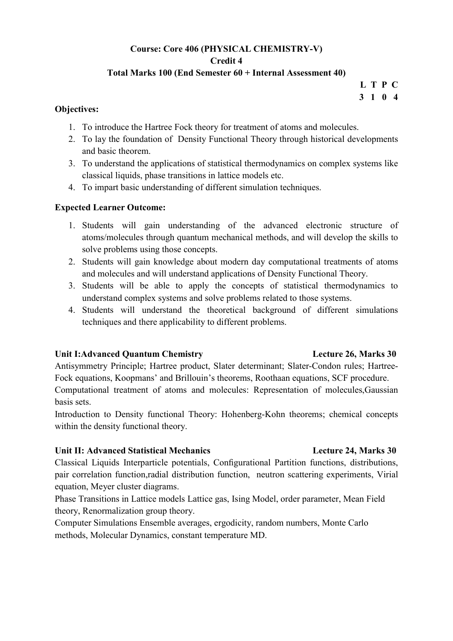# Course: Core 406 (PHYSICAL CHEMISTRY-V) Credit 4

# Total Marks 100 (End Semester 60 + Internal Assessment 40)

L T P C 3 1 0 4

### Objectives:

- 1. To introduce the Hartree Fock theory for treatment of atoms and molecules.
- 2. To lay the foundation of Density Functional Theory through historical developments and basic theorem.
- 3. To understand the applications of statistical thermodynamics on complex systems like classical liquids, phase transitions in lattice models etc.
- 4. To impart basic understanding of different simulation techniques.

# Expected Learner Outcome:

- 1. Students will gain understanding of the advanced electronic structure of atoms/molecules through quantum mechanical methods, and will develop the skills to solve problems using those concepts.
- 2. Students will gain knowledge about modern day computational treatments of atoms and molecules and will understand applications of Density Functional Theory.
- 3. Students will be able to apply the concepts of statistical thermodynamics to understand complex systems and solve problems related to those systems.
- 4. Students will understand the theoretical background of different simulations techniques and there applicability to different problems.

## Unit I:Advanced Quantum Chemistry Lecture 26, Marks 30

Antisymmetry Principle; Hartree product, Slater determinant; Slater-Condon rules; Hartree-Fock equations, Koopmans' and Brillouin's theorems, Roothaan equations, SCF procedure. Computational treatment of atoms and molecules: Representation of molecules,Gaussian basis sets.

Introduction to Density functional Theory: Hohenberg-Kohn theorems; chemical concepts within the density functional theory.

## Unit II: Advanced Statistical Mechanics Lecture 24, Marks 30

Classical Liquids Interparticle potentials, Configurational Partition functions, distributions, pair correlation function,radial distribution function, neutron scattering experiments, Virial equation, Meyer cluster diagrams.

Phase Transitions in Lattice models Lattice gas, Ising Model, order parameter, Mean Field theory, Renormalization group theory.

Computer Simulations Ensemble averages, ergodicity, random numbers, Monte Carlo methods, Molecular Dynamics, constant temperature MD.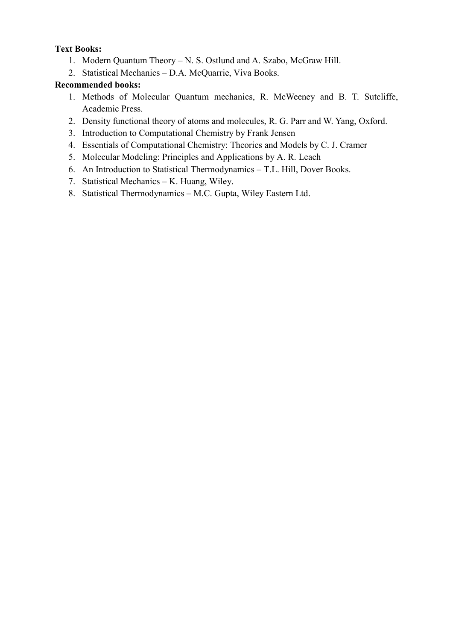## Text Books:

- 1. Modern Quantum Theory N. S. Ostlund and A. Szabo, McGraw Hill.
- 2. Statistical Mechanics D.A. McQuarrie, Viva Books.

- 1. Methods of Molecular Quantum mechanics, R. McWeeney and B. T. Sutcliffe, Academic Press.
- 2. Density functional theory of atoms and molecules, R. G. Parr and W. Yang, Oxford.
- 3. Introduction to Computational Chemistry by Frank Jensen
- 4. Essentials of Computational Chemistry: Theories and Models by C. J. Cramer
- 5. Molecular Modeling: Principles and Applications by A. R. Leach
- 6. An Introduction to Statistical Thermodynamics T.L. Hill, Dover Books.
- 7. Statistical Mechanics K. Huang, Wiley.
- 8. Statistical Thermodynamics M.C. Gupta, Wiley Eastern Ltd.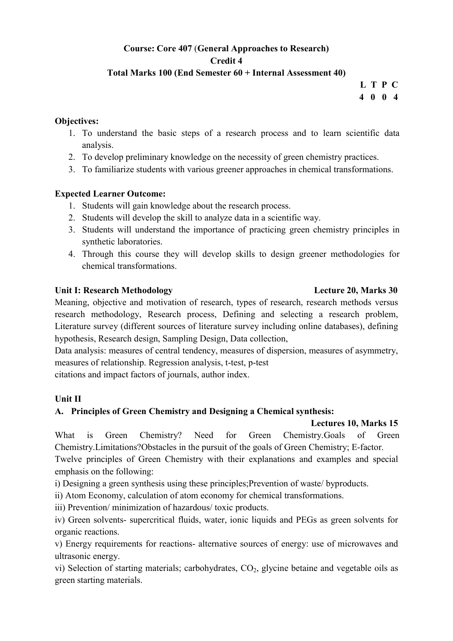# Course: Core 407 (General Approaches to Research) Credit 4

## Total Marks 100 (End Semester 60 + Internal Assessment 40)

L T P C 4 0 0 4

## Objectives:

- 1. To understand the basic steps of a research process and to learn scientific data analysis.
- 2. To develop preliminary knowledge on the necessity of green chemistry practices.
- 3. To familiarize students with various greener approaches in chemical transformations.

# Expected Learner Outcome:

- 1. Students will gain knowledge about the research process.
- 2. Students will develop the skill to analyze data in a scientific way.
- 3. Students will understand the importance of practicing green chemistry principles in synthetic laboratories.
- 4. Through this course they will develop skills to design greener methodologies for chemical transformations.

# Unit I: Research Methodology Lecture 20, Marks 30

Meaning, objective and motivation of research, types of research, research methods versus research methodology, Research process, Defining and selecting a research problem, Literature survey (different sources of literature survey including online databases), defining hypothesis, Research design, Sampling Design, Data collection,

Data analysis: measures of central tendency, measures of dispersion, measures of asymmetry, measures of relationship. Regression analysis, t-test, p-test

citations and impact factors of journals, author index.

# Unit II

# A. Principles of Green Chemistry and Designing a Chemical synthesis:

## Lectures 10, Marks 15

What is Green Chemistry? Need for Green Chemistry.Goals of Green Chemistry.Limitations?Obstacles in the pursuit of the goals of Green Chemistry; E-factor.

Twelve principles of Green Chemistry with their explanations and examples and special emphasis on the following:

i) Designing a green synthesis using these principles;Prevention of waste/ byproducts.

ii) Atom Economy, calculation of atom economy for chemical transformations.

iii) Prevention/ minimization of hazardous/ toxic products.

iv) Green solvents- supercritical fluids, water, ionic liquids and PEGs as green solvents for organic reactions.

v) Energy requirements for reactions- alternative sources of energy: use of microwaves and ultrasonic energy.

vi) Selection of starting materials; carbohydrates,  $CO<sub>2</sub>$ , glycine betaine and vegetable oils as green starting materials.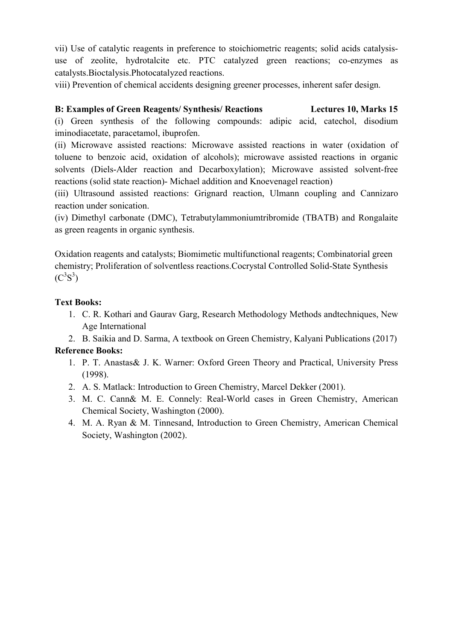vii) Use of catalytic reagents in preference to stoichiometric reagents; solid acids catalysisuse of zeolite, hydrotalcite etc. PTC catalyzed green reactions; co-enzymes as catalysts.Bioctalysis.Photocatalyzed reactions.

viii) Prevention of chemical accidents designing greener processes, inherent safer design.

# B: Examples of Green Reagents/ Synthesis/ Reactions Lectures 10, Marks 15

(i) Green synthesis of the following compounds: adipic acid, catechol, disodium iminodiacetate, paracetamol, ibuprofen.

(ii) Microwave assisted reactions: Microwave assisted reactions in water (oxidation of toluene to benzoic acid, oxidation of alcohols); microwave assisted reactions in organic solvents (Diels-Alder reaction and Decarboxylation); Microwave assisted solvent-free reactions (solid state reaction)- Michael addition and Knoevenagel reaction)

(iii) Ultrasound assisted reactions: Grignard reaction, Ulmann coupling and Cannizaro reaction under sonication.

(iv) Dimethyl carbonate (DMC), Tetrabutylammoniumtribromide (TBATB) and Rongalaite as green reagents in organic synthesis.

Oxidation reagents and catalysts; Biomimetic multifunctional reagents; Combinatorial green chemistry; Proliferation of solventless reactions.Cocrystal Controlled Solid-State Synthesis  $(C^{3}S^{3})$ 

# Text Books:

- 1. C. R. Kothari and Gaurav Garg, Research Methodology Methods andtechniques, New Age International
- 2. B. Saikia and D. Sarma, A textbook on Green Chemistry, Kalyani Publications (2017)

# Reference Books:

- 1. P. T. Anastas& J. K. Warner: Oxford Green Theory and Practical, University Press (1998).
- 2. A. S. Matlack: Introduction to Green Chemistry, Marcel Dekker (2001).
- 3. M. C. Cann& M. E. Connely: Real-World cases in Green Chemistry, American Chemical Society, Washington (2000).
- 4. M. A. Ryan & M. Tinnesand, Introduction to Green Chemistry, American Chemical Society, Washington (2002).